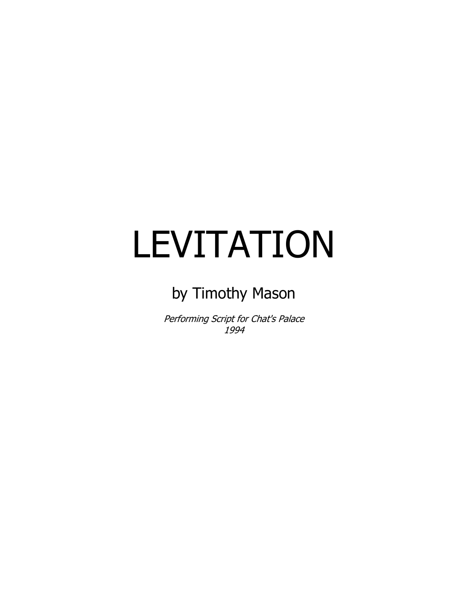# LEVITATION

# by Timothy Mason

Performing Script for Chat's Palace 1994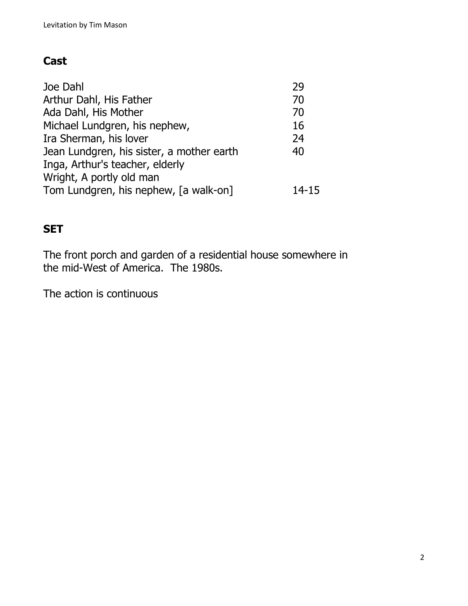### **Cast**

| Joe Dahl                                  | 29        |
|-------------------------------------------|-----------|
| Arthur Dahl, His Father                   | 70        |
| Ada Dahl, His Mother                      | 70        |
| Michael Lundgren, his nephew,             | 16        |
| Ira Sherman, his lover                    | 24        |
| Jean Lundgren, his sister, a mother earth | 40        |
| Inga, Arthur's teacher, elderly           |           |
| Wright, A portly old man                  |           |
| Tom Lundgren, his nephew, [a walk-on]     | $14 - 15$ |

# **SET**

The front porch and garden of a residential house somewhere in the mid-West of America. The 1980s.

The action is continuous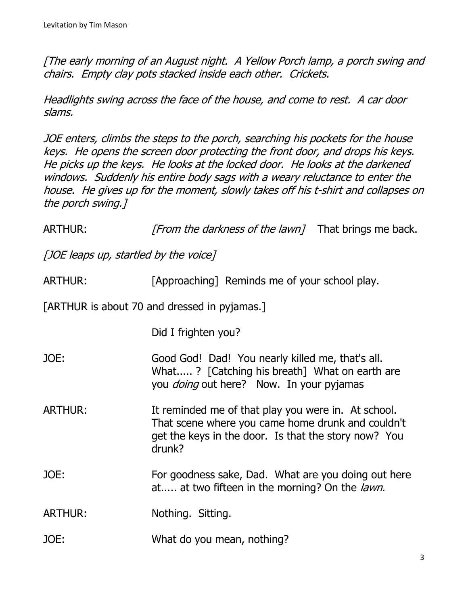[The early morning of an August night. A Yellow Porch lamp, a porch swing and chairs. Empty clay pots stacked inside each other. Crickets.

Headlights swing across the face of the house, and come to rest. A car door slams.

JOE enters, climbs the steps to the porch, searching his pockets for the house keys. He opens the screen door protecting the front door, and drops his keys. He picks up the keys. He looks at the locked door. He looks at the darkened windows. Suddenly his entire body sags with a weary reluctance to enter the house. He gives up for the moment, slowly takes off his t-shirt and collapses on the porch swing.]

| <b>ARTHUR:</b>                        | <i>[From the darkness of the lawn]</i> That brings me back.                                                                                                                |
|---------------------------------------|----------------------------------------------------------------------------------------------------------------------------------------------------------------------------|
| [JOE leaps up, startled by the voice] |                                                                                                                                                                            |
| <b>ARTHUR:</b>                        | [Approaching] Reminds me of your school play.                                                                                                                              |
|                                       | [ARTHUR is about 70 and dressed in pyjamas.]                                                                                                                               |
|                                       | Did I frighten you?                                                                                                                                                        |
| JOE:                                  | Good God! Dad! You nearly killed me, that's all.<br>What? [Catching his breath] What on earth are<br>you <i>doing</i> out here? Now. In your pyjamas                       |
| <b>ARTHUR:</b>                        | It reminded me of that play you were in. At school.<br>That scene where you came home drunk and couldn't<br>get the keys in the door. Is that the story now? You<br>drunk? |
| JOE:                                  | For goodness sake, Dad. What are you doing out here<br>at at two fifteen in the morning? On the lawn.                                                                      |
| <b>ARTHUR:</b>                        | Nothing. Sitting.                                                                                                                                                          |
| JOE:                                  | What do you mean, nothing?                                                                                                                                                 |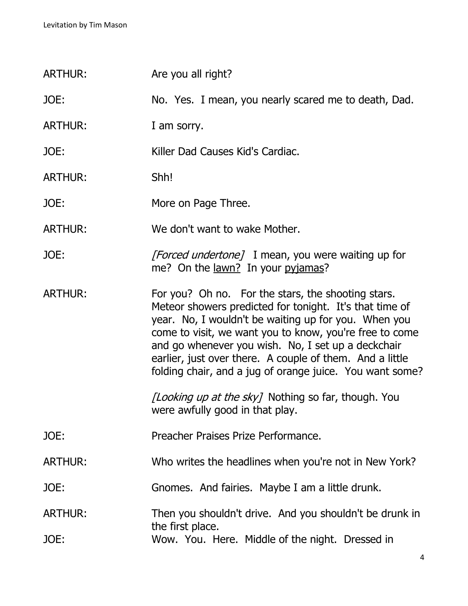| <b>ARTHUR:</b> | Are you all right?                                                                                                                                                                                                                                                                                                                                                                                             |
|----------------|----------------------------------------------------------------------------------------------------------------------------------------------------------------------------------------------------------------------------------------------------------------------------------------------------------------------------------------------------------------------------------------------------------------|
| JOE:           | No. Yes. I mean, you nearly scared me to death, Dad.                                                                                                                                                                                                                                                                                                                                                           |
| <b>ARTHUR:</b> | I am sorry.                                                                                                                                                                                                                                                                                                                                                                                                    |
| JOE:           | Killer Dad Causes Kid's Cardiac.                                                                                                                                                                                                                                                                                                                                                                               |
| <b>ARTHUR:</b> | Shh!                                                                                                                                                                                                                                                                                                                                                                                                           |
| JOE:           | More on Page Three.                                                                                                                                                                                                                                                                                                                                                                                            |
| <b>ARTHUR:</b> | We don't want to wake Mother.                                                                                                                                                                                                                                                                                                                                                                                  |
| JOE:           | [Forced undertone] I mean, you were waiting up for<br>me? On the lawn? In your pyjamas?                                                                                                                                                                                                                                                                                                                        |
| <b>ARTHUR:</b> | For you? Oh no. For the stars, the shooting stars.<br>Meteor showers predicted for tonight. It's that time of<br>year. No, I wouldn't be waiting up for you. When you<br>come to visit, we want you to know, you're free to come<br>and go whenever you wish. No, I set up a deckchair<br>earlier, just over there. A couple of them. And a little<br>folding chair, and a jug of orange juice. You want some? |
|                | <i>[Looking up at the sky]</i> Nothing so far, though. You<br>were awfully good in that play.                                                                                                                                                                                                                                                                                                                  |
| JOE:           | Preacher Praises Prize Performance.                                                                                                                                                                                                                                                                                                                                                                            |
| <b>ARTHUR:</b> | Who writes the headlines when you're not in New York?                                                                                                                                                                                                                                                                                                                                                          |
| JOE:           | Gnomes. And fairies. Maybe I am a little drunk.                                                                                                                                                                                                                                                                                                                                                                |
| <b>ARTHUR:</b> | Then you shouldn't drive. And you shouldn't be drunk in                                                                                                                                                                                                                                                                                                                                                        |
| JOE:           | the first place.<br>Wow. You. Here. Middle of the night. Dressed in                                                                                                                                                                                                                                                                                                                                            |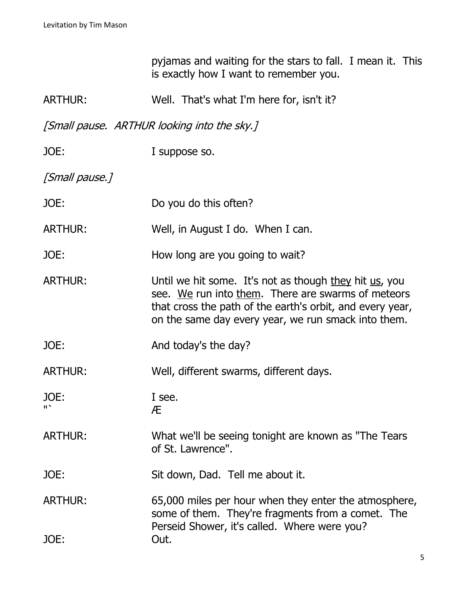|                         | pyjamas and waiting for the stars to fall. I mean it. This<br>is exactly how I want to remember you.                                                                                                                             |
|-------------------------|----------------------------------------------------------------------------------------------------------------------------------------------------------------------------------------------------------------------------------|
| <b>ARTHUR:</b>          | Well. That's what I'm here for, isn't it?                                                                                                                                                                                        |
|                         | [Small pause. ARTHUR looking into the sky.]                                                                                                                                                                                      |
| JOE:                    | I suppose so.                                                                                                                                                                                                                    |
| [Small pause.]          |                                                                                                                                                                                                                                  |
| JOE:                    | Do you do this often?                                                                                                                                                                                                            |
| <b>ARTHUR:</b>          | Well, in August I do. When I can.                                                                                                                                                                                                |
| JOE:                    | How long are you going to wait?                                                                                                                                                                                                  |
| <b>ARTHUR:</b>          | Until we hit some. It's not as though they hit us, you<br>see. We run into them. There are swarms of meteors<br>that cross the path of the earth's orbit, and every year,<br>on the same day every year, we run smack into them. |
| JOE:                    | And today's the day?                                                                                                                                                                                                             |
| <b>ARTHUR:</b>          | Well, different swarms, different days.                                                                                                                                                                                          |
| JOE:<br>11 <sup>1</sup> | I see.<br>Æ                                                                                                                                                                                                                      |
| <b>ARTHUR:</b>          | What we'll be seeing tonight are known as "The Tears"<br>of St. Lawrence".                                                                                                                                                       |
| JOE:                    | Sit down, Dad. Tell me about it.                                                                                                                                                                                                 |
| <b>ARTHUR:</b>          | 65,000 miles per hour when they enter the atmosphere,<br>some of them. They're fragments from a comet. The<br>Perseid Shower, it's called. Where were you?                                                                       |
| JOE:                    | Out.                                                                                                                                                                                                                             |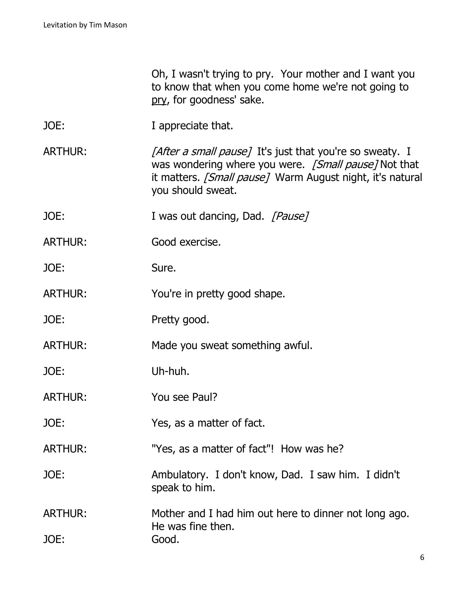|                        | Oh, I wasn't trying to pry. Your mother and I want you<br>to know that when you come home we're not going to<br>pry, for goodness' sake.                                                                  |
|------------------------|-----------------------------------------------------------------------------------------------------------------------------------------------------------------------------------------------------------|
| JOE:                   | I appreciate that.                                                                                                                                                                                        |
| <b>ARTHUR:</b>         | <i>[After a small pause]</i> It's just that you're so sweaty. I<br>was wondering where you were. [Small pause] Not that<br>it matters. [Small pause] Warm August night, it's natural<br>you should sweat. |
| JOE:                   | I was out dancing, Dad. [Pause]                                                                                                                                                                           |
| <b>ARTHUR:</b>         | Good exercise.                                                                                                                                                                                            |
| JOE:                   | Sure.                                                                                                                                                                                                     |
| <b>ARTHUR:</b>         | You're in pretty good shape.                                                                                                                                                                              |
| JOE:                   | Pretty good.                                                                                                                                                                                              |
| <b>ARTHUR:</b>         | Made you sweat something awful.                                                                                                                                                                           |
| JOE:                   | Uh-huh.                                                                                                                                                                                                   |
| <b>ARTHUR:</b>         | You see Paul?                                                                                                                                                                                             |
| JOE:                   | Yes, as a matter of fact.                                                                                                                                                                                 |
| <b>ARTHUR:</b>         | "Yes, as a matter of fact"! How was he?                                                                                                                                                                   |
| JOE:                   | Ambulatory. I don't know, Dad. I saw him. I didn't<br>speak to him.                                                                                                                                       |
| <b>ARTHUR:</b><br>JOE: | Mother and I had him out here to dinner not long ago.<br>He was fine then.<br>Good.                                                                                                                       |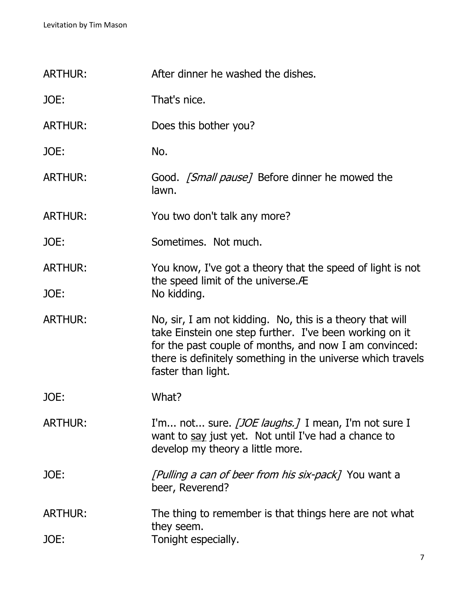| <b>ARTHUR:</b> | After dinner he washed the dishes.                                                                                                                                                                                                                                  |
|----------------|---------------------------------------------------------------------------------------------------------------------------------------------------------------------------------------------------------------------------------------------------------------------|
| JOE:           | That's nice.                                                                                                                                                                                                                                                        |
| <b>ARTHUR:</b> | Does this bother you?                                                                                                                                                                                                                                               |
| JOE:           | No.                                                                                                                                                                                                                                                                 |
| <b>ARTHUR:</b> | Good. <i>[Small pause]</i> Before dinner he mowed the<br>lawn.                                                                                                                                                                                                      |
| <b>ARTHUR:</b> | You two don't talk any more?                                                                                                                                                                                                                                        |
| JOE:           | Sometimes. Not much.                                                                                                                                                                                                                                                |
| <b>ARTHUR:</b> | You know, I've got a theory that the speed of light is not                                                                                                                                                                                                          |
| JOE:           | the speed limit of the universe. Æ<br>No kidding.                                                                                                                                                                                                                   |
| <b>ARTHUR:</b> | No, sir, I am not kidding. No, this is a theory that will<br>take Einstein one step further. I've been working on it<br>for the past couple of months, and now I am convinced:<br>there is definitely something in the universe which travels<br>faster than light. |
| JOE:           | What?                                                                                                                                                                                                                                                               |
| <b>ARTHUR:</b> | I'm not sure. <i>[JOE laughs.]</i> I mean, I'm not sure I<br>want to say just yet. Not until I've had a chance to<br>develop my theory a little more.                                                                                                               |
| JOE:           | [Pulling a can of beer from his six-pack] You want a<br>beer, Reverend?                                                                                                                                                                                             |
| <b>ARTHUR:</b> | The thing to remember is that things here are not what                                                                                                                                                                                                              |
| JOE:           | they seem.<br>Tonight especially.                                                                                                                                                                                                                                   |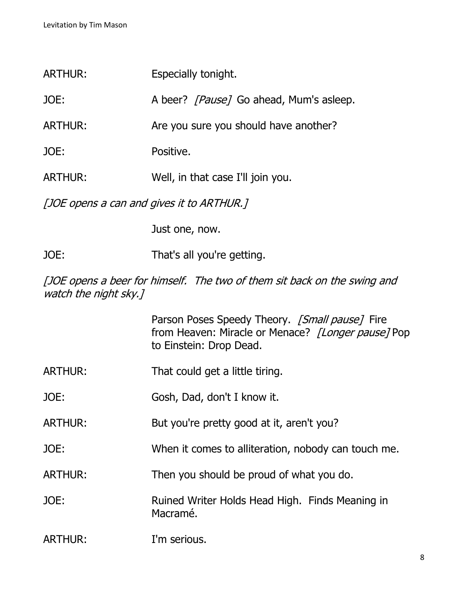| <b>ARTHUR:</b>                            | Especially tonight.                                                                                                             |
|-------------------------------------------|---------------------------------------------------------------------------------------------------------------------------------|
| JOE:                                      | A beer? [Pause] Go ahead, Mum's asleep.                                                                                         |
| <b>ARTHUR:</b>                            | Are you sure you should have another?                                                                                           |
| JOE:                                      | Positive.                                                                                                                       |
| <b>ARTHUR:</b>                            | Well, in that case I'll join you.                                                                                               |
| [JOE opens a can and gives it to ARTHUR.] |                                                                                                                                 |
|                                           | Just one, now.                                                                                                                  |
| JOE:                                      | That's all you're getting.                                                                                                      |
| watch the night sky.]                     | [JOE opens a beer for himself. The two of them sit back on the swing and                                                        |
|                                           | Parson Poses Speedy Theory. [Small pause] Fire<br>from Heaven: Miracle or Menace? [Longer pause] Pop<br>to Einstein: Drop Dead. |
| <b>ARTHUR:</b>                            | That could get a little tiring.                                                                                                 |
| JOE:                                      | Gosh, Dad, don't I know it.                                                                                                     |
| <b>ARTHUR:</b>                            | But you're pretty good at it, aren't you?                                                                                       |
| JOE:                                      | When it comes to alliteration, nobody can touch me.                                                                             |

ARTHUR: Then you should be proud of what you do.

JOE: Ruined Writer Holds Head High. Finds Meaning in Macramé.

ARTHUR: I'm serious.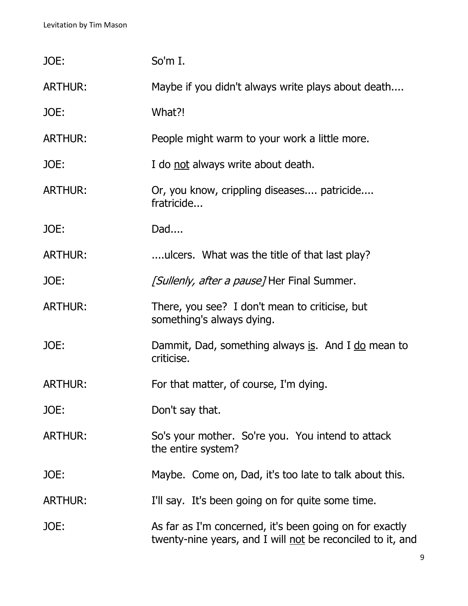| JOE:           | So'm I.                                                                                                               |
|----------------|-----------------------------------------------------------------------------------------------------------------------|
| <b>ARTHUR:</b> | Maybe if you didn't always write plays about death                                                                    |
| JOE:           | What?!                                                                                                                |
| <b>ARTHUR:</b> | People might warm to your work a little more.                                                                         |
| JOE:           | I do not always write about death.                                                                                    |
| <b>ARTHUR:</b> | Or, you know, crippling diseases patricide<br>fratricide                                                              |
| JOE:           | Dad                                                                                                                   |
| <b>ARTHUR:</b> | ulcers. What was the title of that last play?                                                                         |
| JOE:           | <i>[Sullenly, after a pause]</i> Her Final Summer.                                                                    |
| <b>ARTHUR:</b> | There, you see? I don't mean to criticise, but<br>something's always dying.                                           |
| JOE:           | Dammit, Dad, something always is. And I do mean to<br>criticise.                                                      |
| <b>ARTHUR:</b> | For that matter, of course, I'm dying.                                                                                |
| JOE:           | Don't say that.                                                                                                       |
| <b>ARTHUR:</b> | So's your mother. So're you. You intend to attack<br>the entire system?                                               |
| JOE:           | Maybe. Come on, Dad, it's too late to talk about this.                                                                |
| <b>ARTHUR:</b> | I'll say. It's been going on for quite some time.                                                                     |
| JOE:           | As far as I'm concerned, it's been going on for exactly<br>twenty-nine years, and I will not be reconciled to it, and |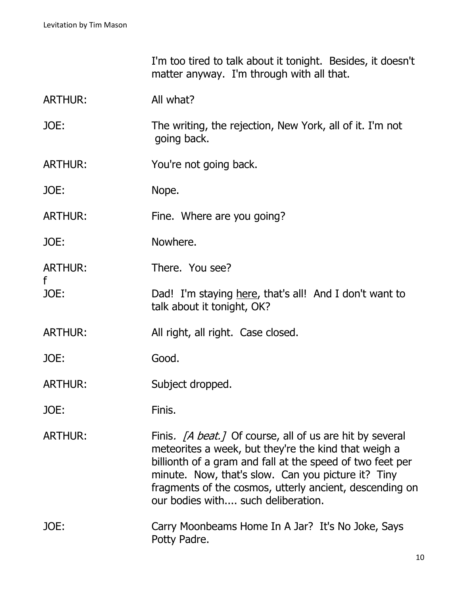|                | I'm too tired to talk about it tonight. Besides, it doesn't<br>matter anyway. I'm through with all that.                                                                                                                                                                                                                                    |
|----------------|---------------------------------------------------------------------------------------------------------------------------------------------------------------------------------------------------------------------------------------------------------------------------------------------------------------------------------------------|
| <b>ARTHUR:</b> | All what?                                                                                                                                                                                                                                                                                                                                   |
| JOE:           | The writing, the rejection, New York, all of it. I'm not<br>going back.                                                                                                                                                                                                                                                                     |
| <b>ARTHUR:</b> | You're not going back.                                                                                                                                                                                                                                                                                                                      |
| JOE:           | Nope.                                                                                                                                                                                                                                                                                                                                       |
| <b>ARTHUR:</b> | Fine. Where are you going?                                                                                                                                                                                                                                                                                                                  |
| JOE:           | Nowhere.                                                                                                                                                                                                                                                                                                                                    |
| <b>ARTHUR:</b> | There. You see?                                                                                                                                                                                                                                                                                                                             |
| f<br>JOE:      | Dad! I'm staying here, that's all! And I don't want to<br>talk about it tonight, OK?                                                                                                                                                                                                                                                        |
| <b>ARTHUR:</b> | All right, all right. Case closed.                                                                                                                                                                                                                                                                                                          |
| JOE:           | Good.                                                                                                                                                                                                                                                                                                                                       |
| <b>ARTHUR:</b> | Subject dropped.                                                                                                                                                                                                                                                                                                                            |
| JOE:           | Finis.                                                                                                                                                                                                                                                                                                                                      |
| <b>ARTHUR:</b> | Finis. <i>[A beat.]</i> Of course, all of us are hit by several<br>meteorites a week, but they're the kind that weigh a<br>billionth of a gram and fall at the speed of two feet per<br>minute. Now, that's slow. Can you picture it? Tiny<br>fragments of the cosmos, utterly ancient, descending on<br>our bodies with such deliberation. |
| JOE:           | Carry Moonbeams Home In A Jar? It's No Joke, Says<br>Potty Padre.                                                                                                                                                                                                                                                                           |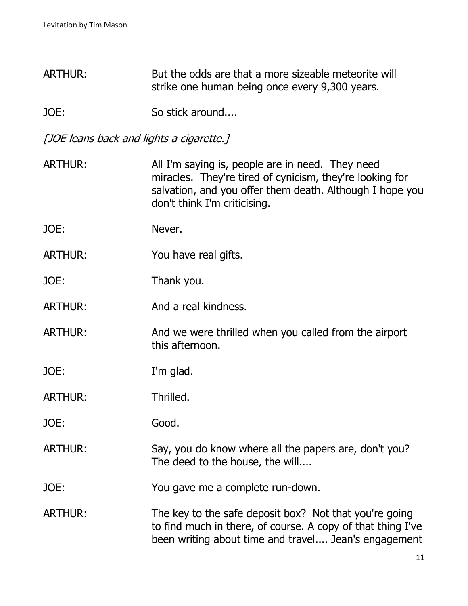- ARTHUR: But the odds are that a more sizeable meteorite will strike one human being once every 9,300 years.
- JOE: So stick around....

[JOE leans back and lights a cigarette.]

- ARTHUR: All I'm saying is, people are in need. They need miracles. They're tired of cynicism, they're looking for salvation, and you offer them death. Although I hope you don't think I'm criticising.
- JOE: Never.
- ARTHUR: You have real gifts.

JOE: Thank you.

- ARTHUR: And a real kindness.
- ARTHUR: And we were thrilled when you called from the airport this afternoon.
- JOE: I'm glad.
- ARTHUR: Thrilled.

JOE: Good.

- ARTHUR: Say, you do know where all the papers are, don't you? The deed to the house, the will....
- JOE: You gave me a complete run-down.
- ARTHUR: The key to the safe deposit box? Not that you're going to find much in there, of course. A copy of that thing I've been writing about time and travel.... Jean's engagement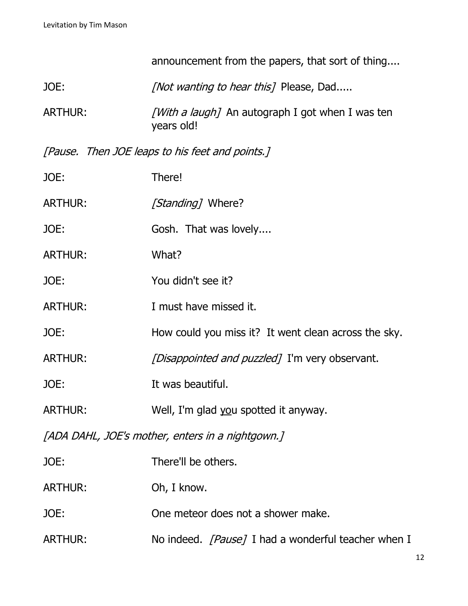|                | announcement from the papers, that sort of thing               |
|----------------|----------------------------------------------------------------|
| JOE:           | [Not wanting to hear this] Please, Dad                         |
| <b>ARTHUR:</b> | [With a laugh] An autograph I got when I was ten<br>years old! |
|                | [Pause. Then JOE leaps to his feet and points.]                |
| JOE:           | There!                                                         |
| <b>ARTHUR:</b> | <i>[Standing]</i> Where?                                       |
| JOE:           | Gosh. That was lovely                                          |
| <b>ARTHUR:</b> | What?                                                          |
| JOE:           | You didn't see it?                                             |
| <b>ARTHUR:</b> | I must have missed it.                                         |
| JOE:           | How could you miss it? It went clean across the sky.           |
| <b>ARTHUR:</b> | <i>[Disappointed and puzzled]</i> I'm very observant.          |
| JOE:           | It was beautiful.                                              |
| <b>ARTHUR:</b> | Well, I'm glad you spotted it anyway.                          |
|                | [ADA DAHL, JOE's mother, enters in a nightgown.]               |
| JOE:           | There'll be others.                                            |
| <b>ARTHUR:</b> | Oh, I know.                                                    |

JOE: One meteor does not a shower make.

ARTHUR: No indeed. [Pause] I had a wonderful teacher when I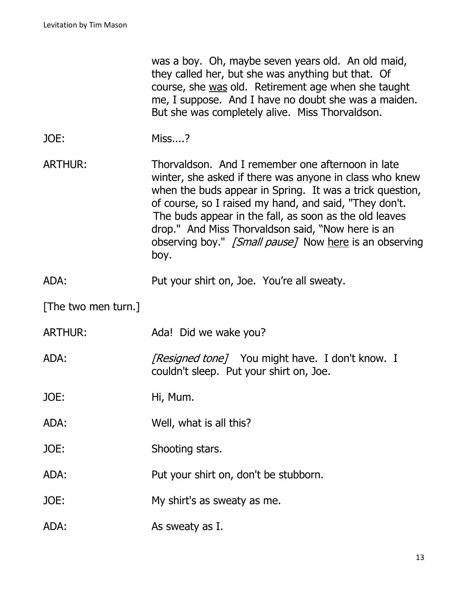|                     | was a boy. Oh, maybe seven years old. An old maid,<br>they called her, but she was anything but that. Of<br>course, she was old. Retirement age when she taught<br>me, I suppose. And I have no doubt she was a maiden.<br>But she was completely alive. Miss Thorvaldson.                                                                                                                                          |
|---------------------|---------------------------------------------------------------------------------------------------------------------------------------------------------------------------------------------------------------------------------------------------------------------------------------------------------------------------------------------------------------------------------------------------------------------|
| JOE:                | Miss?                                                                                                                                                                                                                                                                                                                                                                                                               |
| <b>ARTHUR:</b>      | Thorvaldson. And I remember one afternoon in late<br>winter, she asked if there was anyone in class who knew<br>when the buds appear in Spring. It was a trick question,<br>of course, so I raised my hand, and said, "They don't.<br>The buds appear in the fall, as soon as the old leaves<br>drop." And Miss Thorvaldson said, "Now here is an<br>observing boy." [Small pause] Now here is an observing<br>boy. |
| ADA:                | Put your shirt on, Joe. You're all sweaty.                                                                                                                                                                                                                                                                                                                                                                          |
| [The two men turn.] |                                                                                                                                                                                                                                                                                                                                                                                                                     |
| <b>ARTHUR:</b>      | Ada! Did we wake you?                                                                                                                                                                                                                                                                                                                                                                                               |
| ADA:                | <i>[Resigned tone]</i> You might have. I don't know. I<br>couldn't sleep. Put your shirt on, Joe.                                                                                                                                                                                                                                                                                                                   |
| JOE:                | Hi, Mum.                                                                                                                                                                                                                                                                                                                                                                                                            |
| ADA:                | Well, what is all this?                                                                                                                                                                                                                                                                                                                                                                                             |
| JOE:                | Shooting stars.                                                                                                                                                                                                                                                                                                                                                                                                     |
| ADA:                | Put your shirt on, don't be stubborn.                                                                                                                                                                                                                                                                                                                                                                               |
| JOE:                | My shirt's as sweaty as me.                                                                                                                                                                                                                                                                                                                                                                                         |
| ADA:                | As sweaty as I.                                                                                                                                                                                                                                                                                                                                                                                                     |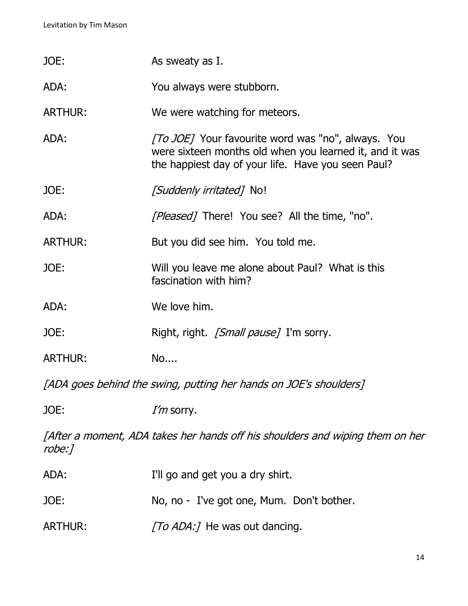| JOE:           | As sweaty as I.                                                                                                                                                     |
|----------------|---------------------------------------------------------------------------------------------------------------------------------------------------------------------|
| ADA:           | You always were stubborn.                                                                                                                                           |
| <b>ARTHUR:</b> | We were watching for meteors.                                                                                                                                       |
| ADA:           | [To JOE] Your favourite word was "no", always. You<br>were sixteen months old when you learned it, and it was<br>the happiest day of your life. Have you seen Paul? |
| JOE:           | <i>[Suddenly irritated]</i> No!                                                                                                                                     |
| ADA:           | <i>[Pleased]</i> There! You see? All the time, "no".                                                                                                                |
| <b>ARTHUR:</b> | But you did see him. You told me.                                                                                                                                   |
| JOE:           | Will you leave me alone about Paul? What is this<br>fascination with him?                                                                                           |
| ADA:           | We love him.                                                                                                                                                        |
| JOE:           | Right, right. <i>[Small pause]</i> I'm sorry.                                                                                                                       |
| <b>ARTHUR:</b> | No                                                                                                                                                                  |

[ADA goes behind the swing, putting her hands on JOE's shoulders]

JOE: I'm sorry.

[After a moment, ADA takes her hands off his shoulders and wiping them on her robe:]

| ADA: | I'll go and get you a dry shirt. |
|------|----------------------------------|
|------|----------------------------------|

JOE: No, no - I've got one, Mum. Don't bother.

ARTHUR: [To ADA:] He was out dancing.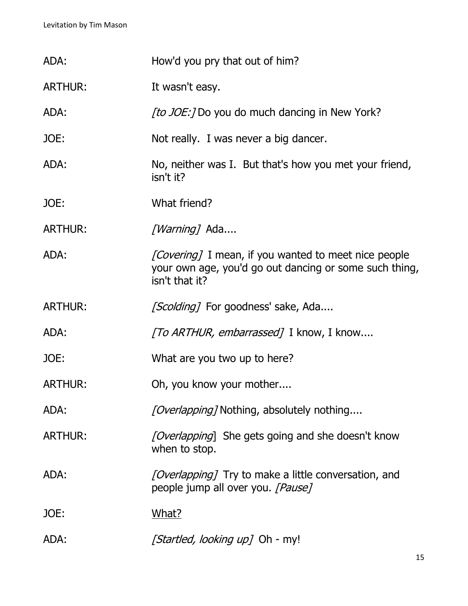| ADA:           | How'd you pry that out of him?                                                                                                          |
|----------------|-----------------------------------------------------------------------------------------------------------------------------------------|
| <b>ARTHUR:</b> | It wasn't easy.                                                                                                                         |
| ADA:           | <i>[to JOE:]</i> Do you do much dancing in New York?                                                                                    |
| JOE:           | Not really. I was never a big dancer.                                                                                                   |
| ADA:           | No, neither was I. But that's how you met your friend,<br>isn't it?                                                                     |
| JOE:           | What friend?                                                                                                                            |
| <b>ARTHUR:</b> | <i>[Warning]</i> Ada                                                                                                                    |
| ADA:           | <i>[Covering]</i> I mean, if you wanted to meet nice people<br>your own age, you'd go out dancing or some such thing,<br>isn't that it? |
| <b>ARTHUR:</b> | <i>[Scolding]</i> For goodness' sake, Ada                                                                                               |
| ADA:           | <i>[To ARTHUR, embarrassed]</i> I know, I know                                                                                          |
| JOE:           | What are you two up to here?                                                                                                            |
| <b>ARTHUR:</b> | Oh, you know your mother                                                                                                                |
| ADA:           | [Overlapping] Nothing, absolutely nothing                                                                                               |
| <b>ARTHUR:</b> | <i>[Overlapping</i> ] She gets going and she doesn't know<br>when to stop.                                                              |
| ADA:           | <i>[Overlapping]</i> Try to make a little conversation, and<br>people jump all over you. [Pause]                                        |
| JOE:           | <u>What?</u>                                                                                                                            |
| ADA:           | <i>[Startled, looking up]</i> Oh - my!                                                                                                  |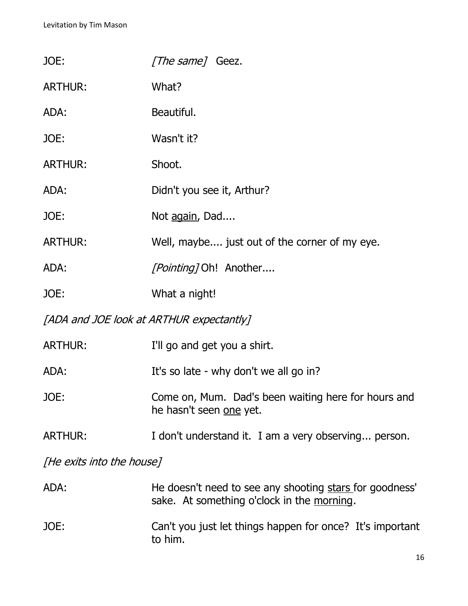| JOE:                                     | <i>[The same]</i> Geez.                                                                               |  |
|------------------------------------------|-------------------------------------------------------------------------------------------------------|--|
| <b>ARTHUR:</b>                           | What?                                                                                                 |  |
| ADA:                                     | Beautiful.                                                                                            |  |
| JOE:                                     | Wasn't it?                                                                                            |  |
| <b>ARTHUR:</b>                           | Shoot.                                                                                                |  |
| ADA:                                     | Didn't you see it, Arthur?                                                                            |  |
| JOE:                                     | Not again, Dad                                                                                        |  |
| <b>ARTHUR:</b>                           | Well, maybe just out of the corner of my eye.                                                         |  |
| ADA:                                     | <i>[Pointing]</i> Oh! Another                                                                         |  |
| JOE:                                     | What a night!                                                                                         |  |
| [ADA and JOE look at ARTHUR expectantly] |                                                                                                       |  |
| <b>ARTHUR:</b>                           | I'll go and get you a shirt.                                                                          |  |
| ADA:                                     | It's so late - why don't we all go in?                                                                |  |
| JOE:                                     | Come on, Mum. Dad's been waiting here for hours and<br>he hasn't seen one yet.                        |  |
| <b>ARTHUR:</b>                           | I don't understand it. I am a very observing person.                                                  |  |
| [He exits into the house]                |                                                                                                       |  |
| ADA:                                     | He doesn't need to see any shooting stars for goodness'<br>sake. At something o'clock in the morning. |  |

JOE: Can't you just let things happen for once? It's important to him.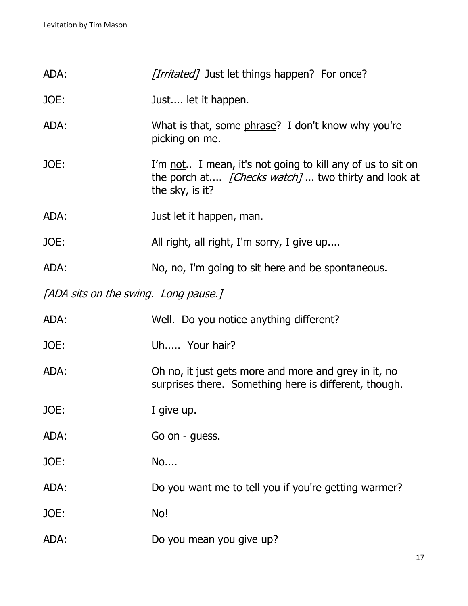| ADA:                                 | <i>[Irritated]</i> Just let things happen? For once?                                                                                |
|--------------------------------------|-------------------------------------------------------------------------------------------------------------------------------------|
| JOE:                                 | Just let it happen.                                                                                                                 |
| ADA:                                 | What is that, some phrase? I don't know why you're<br>picking on me.                                                                |
| JOE:                                 | I'm not I mean, it's not going to kill any of us to sit on<br>the porch at [Checks watch] two thirty and look at<br>the sky, is it? |
| ADA:                                 | Just let it happen, man.                                                                                                            |
| JOE:                                 | All right, all right, I'm sorry, I give up                                                                                          |
| ADA:                                 | No, no, I'm going to sit here and be spontaneous.                                                                                   |
| [ADA sits on the swing. Long pause.] |                                                                                                                                     |
| ADA:                                 | Well. Do you notice anything different?                                                                                             |
| JOE:                                 | Uh Your hair?                                                                                                                       |
| ADA:                                 | Oh no, it just gets more and more and grey in it, no<br>surprises there. Something here is different, though.                       |
| JOE:                                 | I give up.                                                                                                                          |
| ADA:                                 | Go on - guess.                                                                                                                      |
| JOE:                                 | No                                                                                                                                  |
| ADA:                                 | Do you want me to tell you if you're getting warmer?                                                                                |
| JOE:                                 | No!                                                                                                                                 |
| ADA:                                 | Do you mean you give up?                                                                                                            |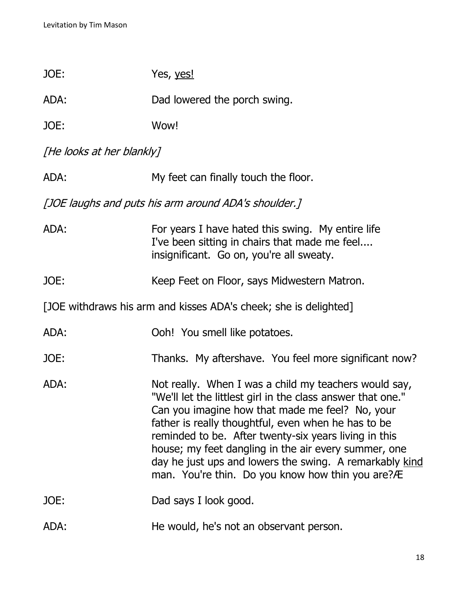| JOE:                                                             | Yes, <u>yes!</u>                                                                                                                                                                                                                                                                                                                                                                                                                                                |  |
|------------------------------------------------------------------|-----------------------------------------------------------------------------------------------------------------------------------------------------------------------------------------------------------------------------------------------------------------------------------------------------------------------------------------------------------------------------------------------------------------------------------------------------------------|--|
| ADA:                                                             | Dad lowered the porch swing.                                                                                                                                                                                                                                                                                                                                                                                                                                    |  |
| JOE:                                                             | Wow!                                                                                                                                                                                                                                                                                                                                                                                                                                                            |  |
| [He looks at her blankly]                                        |                                                                                                                                                                                                                                                                                                                                                                                                                                                                 |  |
| ADA:                                                             | My feet can finally touch the floor.                                                                                                                                                                                                                                                                                                                                                                                                                            |  |
| [JOE laughs and puts his arm around ADA's shoulder.]             |                                                                                                                                                                                                                                                                                                                                                                                                                                                                 |  |
| ADA:                                                             | For years I have hated this swing. My entire life<br>I've been sitting in chairs that made me feel<br>insignificant. Go on, you're all sweaty.                                                                                                                                                                                                                                                                                                                  |  |
| JOE:                                                             | Keep Feet on Floor, says Midwestern Matron.                                                                                                                                                                                                                                                                                                                                                                                                                     |  |
| [JOE withdraws his arm and kisses ADA's cheek; she is delighted] |                                                                                                                                                                                                                                                                                                                                                                                                                                                                 |  |
| ADA:                                                             | Ooh! You smell like potatoes.                                                                                                                                                                                                                                                                                                                                                                                                                                   |  |
| JOE:                                                             | Thanks. My aftershave. You feel more significant now?                                                                                                                                                                                                                                                                                                                                                                                                           |  |
| ADA:                                                             | Not really. When I was a child my teachers would say,<br>"We'll let the littlest girl in the class answer that one."<br>Can you imagine how that made me feel? No, your<br>father is really thoughtful, even when he has to be<br>reminded to be. After twenty-six years living in this<br>house; my feet dangling in the air every summer, one<br>day he just ups and lowers the swing. A remarkably kind<br>man. You're thin. Do you know how thin you are? Æ |  |
| JOE:                                                             | Dad says I look good.                                                                                                                                                                                                                                                                                                                                                                                                                                           |  |
| ADA:                                                             | He would, he's not an observant person.                                                                                                                                                                                                                                                                                                                                                                                                                         |  |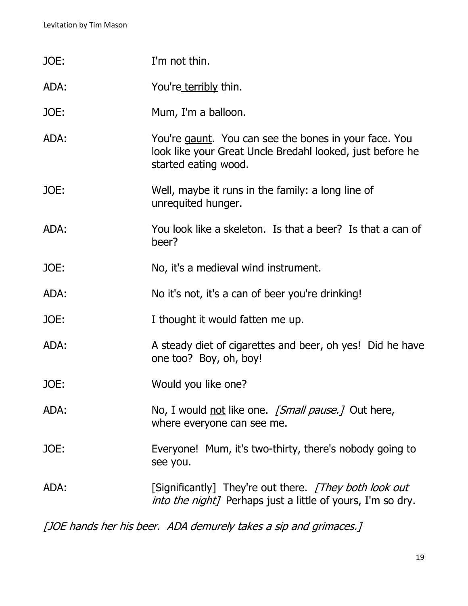| JOE: | I'm not thin.                                                                                                                              |
|------|--------------------------------------------------------------------------------------------------------------------------------------------|
| ADA: | You're terribly thin.                                                                                                                      |
| JOE: | Mum, I'm a balloon.                                                                                                                        |
| ADA: | You're gaunt. You can see the bones in your face. You<br>look like your Great Uncle Bredahl looked, just before he<br>started eating wood. |
| JOE: | Well, maybe it runs in the family: a long line of<br>unrequited hunger.                                                                    |
| ADA: | You look like a skeleton. Is that a beer? Is that a can of<br>beer?                                                                        |
| JOE: | No, it's a medieval wind instrument.                                                                                                       |
| ADA: | No it's not, it's a can of beer you're drinking!                                                                                           |
| JOE: | I thought it would fatten me up.                                                                                                           |
| ADA: | A steady diet of cigarettes and beer, oh yes! Did he have<br>one too? Boy, oh, boy!                                                        |
| JOE: | Would you like one?                                                                                                                        |
| ADA: | No, I would not like one. <i>[Small pause.]</i> Out here,<br>where everyone can see me.                                                    |
| JOE: | Everyone! Mum, it's two-thirty, there's nobody going to<br>see you.                                                                        |
| ADA: | [Significantly] They're out there. [They both look out<br><i>into the night]</i> Perhaps just a little of yours, I'm so dry.               |

[JOE hands her his beer. ADA demurely takes a sip and grimaces.]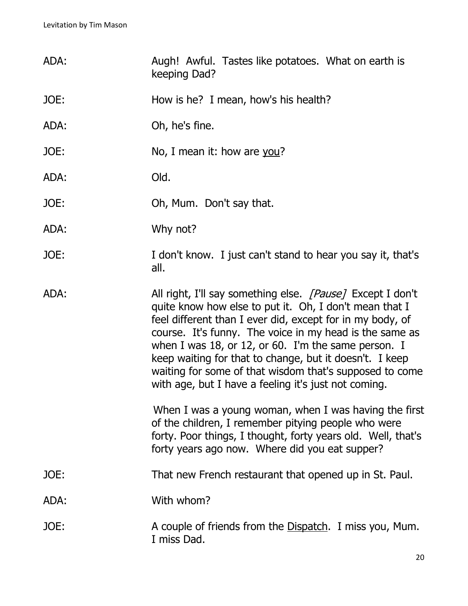| ADA: | Augh! Awful. Tastes like potatoes. What on earth is<br>keeping Dad?                                                                                                                                                                                                                                                                                                                                                                                                                                                                                                                                                                                               |
|------|-------------------------------------------------------------------------------------------------------------------------------------------------------------------------------------------------------------------------------------------------------------------------------------------------------------------------------------------------------------------------------------------------------------------------------------------------------------------------------------------------------------------------------------------------------------------------------------------------------------------------------------------------------------------|
| JOE: | How is he? I mean, how's his health?                                                                                                                                                                                                                                                                                                                                                                                                                                                                                                                                                                                                                              |
| ADA: | Oh, he's fine.                                                                                                                                                                                                                                                                                                                                                                                                                                                                                                                                                                                                                                                    |
| JOE: | No, I mean it: how are you?                                                                                                                                                                                                                                                                                                                                                                                                                                                                                                                                                                                                                                       |
| ADA: | Old.                                                                                                                                                                                                                                                                                                                                                                                                                                                                                                                                                                                                                                                              |
| JOE: | Oh, Mum. Don't say that.                                                                                                                                                                                                                                                                                                                                                                                                                                                                                                                                                                                                                                          |
| ADA: | Why not?                                                                                                                                                                                                                                                                                                                                                                                                                                                                                                                                                                                                                                                          |
| JOE: | I don't know. I just can't stand to hear you say it, that's<br>all.                                                                                                                                                                                                                                                                                                                                                                                                                                                                                                                                                                                               |
| ADA: | All right, I'll say something else. [Pause] Except I don't<br>quite know how else to put it. Oh, I don't mean that I<br>feel different than I ever did, except for in my body, of<br>course. It's funny. The voice in my head is the same as<br>when I was 18, or 12, or 60. I'm the same person. I<br>keep waiting for that to change, but it doesn't. I keep<br>waiting for some of that wisdom that's supposed to come<br>with age, but I have a feeling it's just not coming.<br>When I was a young woman, when I was having the first<br>of the children, I remember pitying people who were<br>forty. Poor things, I thought, forty years old. Well, that's |
|      | forty years ago now. Where did you eat supper?                                                                                                                                                                                                                                                                                                                                                                                                                                                                                                                                                                                                                    |
| JOE: | That new French restaurant that opened up in St. Paul.                                                                                                                                                                                                                                                                                                                                                                                                                                                                                                                                                                                                            |
| ADA: | With whom?                                                                                                                                                                                                                                                                                                                                                                                                                                                                                                                                                                                                                                                        |
| JOE: | A couple of friends from the Dispatch. I miss you, Mum.<br>I miss Dad.                                                                                                                                                                                                                                                                                                                                                                                                                                                                                                                                                                                            |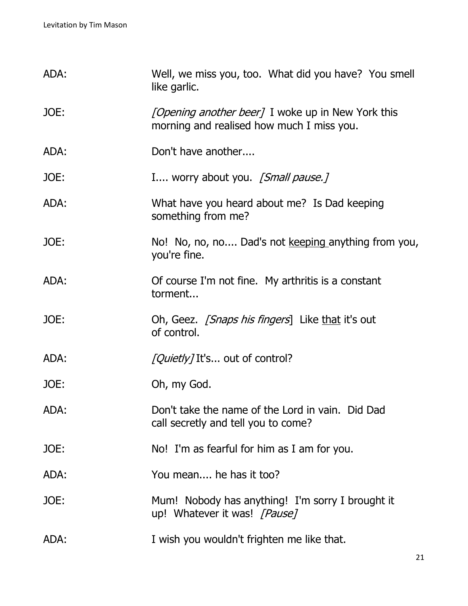| ADA: | Well, we miss you, too. What did you have? You smell<br>like garlic.                           |
|------|------------------------------------------------------------------------------------------------|
| JOE: | [Opening another beer] I woke up in New York this<br>morning and realised how much I miss you. |
| ADA: | Don't have another                                                                             |
| JOE: | I worry about you. [Small pause.]                                                              |
| ADA: | What have you heard about me? Is Dad keeping<br>something from me?                             |
| JOE: | No! No, no, no Dad's not keeping anything from you,<br>you're fine.                            |
| ADA: | Of course I'm not fine. My arthritis is a constant<br>torment                                  |
| JOE: | Oh, Geez. [Snaps his fingers] Like that it's out<br>of control.                                |
| ADA: | <i>[Quietly]</i> It's out of control?                                                          |
| JOE: | Oh, my God.                                                                                    |
| ADA: | Don't take the name of the Lord in vain. Did Dad<br>call secretly and tell you to come?        |
| JOE: | No! I'm as fearful for him as I am for you.                                                    |
| ADA: | You mean he has it too?                                                                        |
| JOE: | Mum! Nobody has anything! I'm sorry I brought it<br>up! Whatever it was! [Pause]               |
| ADA: | I wish you wouldn't frighten me like that.                                                     |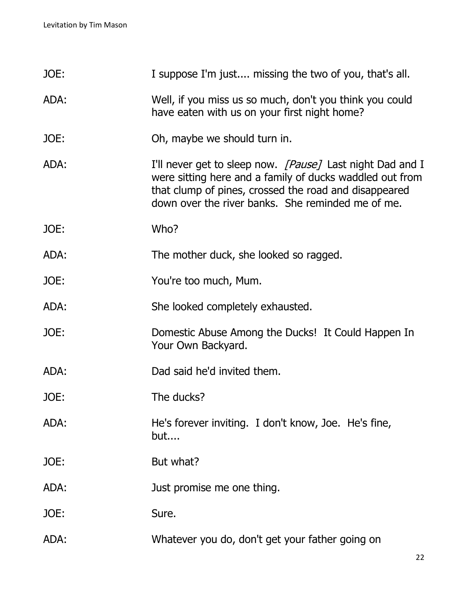| JOE: | I suppose I'm just missing the two of you, that's all.                                                                                                                                                                                     |
|------|--------------------------------------------------------------------------------------------------------------------------------------------------------------------------------------------------------------------------------------------|
| ADA: | Well, if you miss us so much, don't you think you could<br>have eaten with us on your first night home?                                                                                                                                    |
| JOE: | Oh, maybe we should turn in.                                                                                                                                                                                                               |
| ADA: | I'll never get to sleep now. <i>[Pause]</i> Last night Dad and I<br>were sitting here and a family of ducks waddled out from<br>that clump of pines, crossed the road and disappeared<br>down over the river banks. She reminded me of me. |
| JOE: | Who?                                                                                                                                                                                                                                       |
| ADA: | The mother duck, she looked so ragged.                                                                                                                                                                                                     |
| JOE: | You're too much, Mum.                                                                                                                                                                                                                      |
| ADA: | She looked completely exhausted.                                                                                                                                                                                                           |
| JOE: | Domestic Abuse Among the Ducks! It Could Happen In<br>Your Own Backyard.                                                                                                                                                                   |
| ADA: | Dad said he'd invited them.                                                                                                                                                                                                                |
| JOE: | The ducks?                                                                                                                                                                                                                                 |
| ADA: | He's forever inviting. I don't know, Joe. He's fine,<br>but                                                                                                                                                                                |
| JOE: | But what?                                                                                                                                                                                                                                  |
| ADA: | Just promise me one thing.                                                                                                                                                                                                                 |
| JOE: | Sure.                                                                                                                                                                                                                                      |
| ADA: | Whatever you do, don't get your father going on                                                                                                                                                                                            |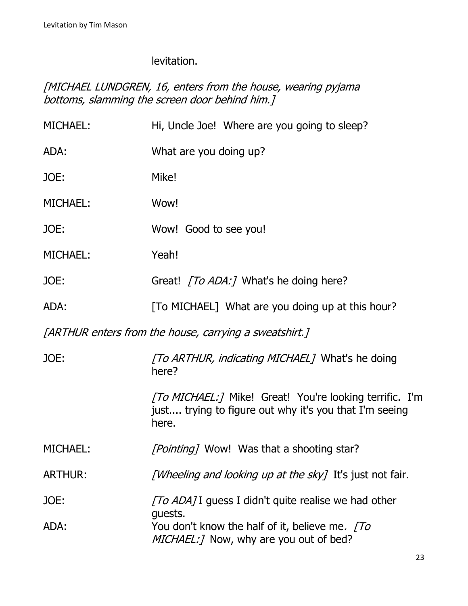# levitation.

[MICHAEL LUNDGREN, 16, enters from the house, wearing pyjama bottoms, slamming the screen door behind him.]

| MICHAEL:        | Hi, Uncle Joe! Where are you going to sleep?                                                                                      |
|-----------------|-----------------------------------------------------------------------------------------------------------------------------------|
| ADA:            | What are you doing up?                                                                                                            |
| JOE:            | Mike!                                                                                                                             |
| <b>MICHAEL:</b> | Wow!                                                                                                                              |
| JOE:            | Wow! Good to see you!                                                                                                             |
| MICHAEL:        | Yeah!                                                                                                                             |
| JOE:            | Great! [To ADA:] What's he doing here?                                                                                            |
| ADA:            | [To MICHAEL] What are you doing up at this hour?                                                                                  |
|                 | [ARTHUR enters from the house, carrying a sweatshirt.]                                                                            |
| JOE:            | [To ARTHUR, indicating MICHAEL] What's he doing<br>here?                                                                          |
|                 | <i>[To MICHAEL:]</i> Mike! Great! You're looking terrific. I'm<br>just trying to figure out why it's you that I'm seeing<br>here. |
| <b>MICHAEL:</b> | <i>[Pointing]</i> Wow! Was that a shooting star?                                                                                  |
| <b>ARTHUR:</b>  | <i>[Wheeling and looking up at the sky]</i> It's just not fair.                                                                   |
| JOE:            | [To ADA] I guess I didn't quite realise we had other                                                                              |
| ADA:            | quests.<br>You don't know the half of it, believe me. [To<br><i>MICHAEL:]</i> Now, why are you out of bed?                        |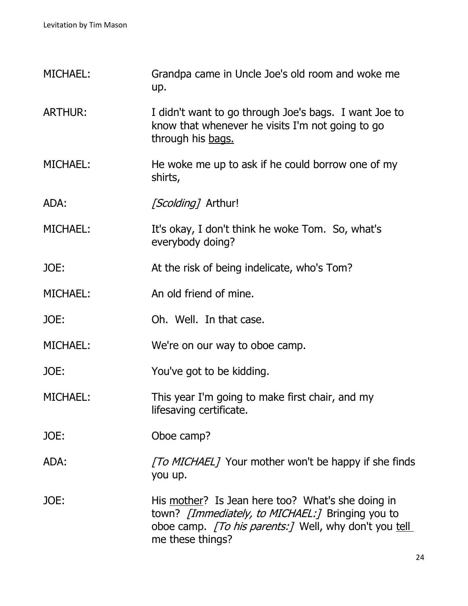Levitation by Tim Mason

| MICHAEL:        | Grandpa came in Uncle Joe's old room and woke me<br>up.                                                                                                                                   |
|-----------------|-------------------------------------------------------------------------------------------------------------------------------------------------------------------------------------------|
| <b>ARTHUR:</b>  | I didn't want to go through Joe's bags. I want Joe to<br>know that whenever he visits I'm not going to go<br>through his bags.                                                            |
| MICHAEL:        | He woke me up to ask if he could borrow one of my<br>shirts,                                                                                                                              |
| ADA:            | [Scolding] Arthur!                                                                                                                                                                        |
| <b>MICHAEL:</b> | It's okay, I don't think he woke Tom. So, what's<br>everybody doing?                                                                                                                      |
| JOE:            | At the risk of being indelicate, who's Tom?                                                                                                                                               |
| <b>MICHAEL:</b> | An old friend of mine.                                                                                                                                                                    |
| JOE:            | Oh. Well. In that case.                                                                                                                                                                   |
| MICHAEL:        | We're on our way to oboe camp.                                                                                                                                                            |
| JOE:            | You've got to be kidding.                                                                                                                                                                 |
| MICHAEL:        | This year I'm going to make first chair, and my<br>lifesaving certificate.                                                                                                                |
| JOE:            | Oboe camp?                                                                                                                                                                                |
| ADA:            | <i>TO MICHAEL</i> 7 Your mother won't be happy if she finds<br>you up.                                                                                                                    |
| JOE:            | His mother? Is Jean here too? What's she doing in<br>town? <i>[Immediately, to MICHAEL:]</i> Bringing you to<br>oboe camp. [To his parents:] Well, why don't you tell<br>me these things? |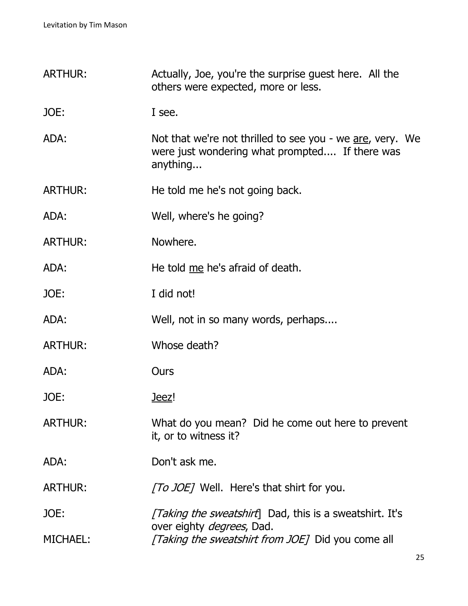| <b>ARTHUR:</b>  | Actually, Joe, you're the surprise guest here. All the<br>others were expected, more or less.                           |
|-----------------|-------------------------------------------------------------------------------------------------------------------------|
| JOE:            | I see.                                                                                                                  |
| ADA:            | Not that we're not thrilled to see you - we are, very. We<br>were just wondering what prompted If there was<br>anything |
| <b>ARTHUR:</b>  | He told me he's not going back.                                                                                         |
| ADA:            | Well, where's he going?                                                                                                 |
| <b>ARTHUR:</b>  | Nowhere.                                                                                                                |
| ADA:            | He told me he's afraid of death.                                                                                        |
| JOE:            | I did not!                                                                                                              |
| ADA:            | Well, not in so many words, perhaps                                                                                     |
| <b>ARTHUR:</b>  | Whose death?                                                                                                            |
| ADA:            | Ours                                                                                                                    |
| JOE:            | <u>Jeez!</u>                                                                                                            |
| <b>ARTHUR:</b>  | What do you mean? Did he come out here to prevent<br>it, or to witness it?                                              |
| ADA:            | Don't ask me.                                                                                                           |
| <b>ARTHUR:</b>  | [To JOE] Well. Here's that shirt for you.                                                                               |
| JOE:            | <i>[Taking the sweatshirt</i> ] Dad, this is a sweatshirt. It's                                                         |
| <b>MICHAEL:</b> | over eighty <i>degrees</i> , Dad.<br>[Taking the sweatshirt from JOE] Did you come all                                  |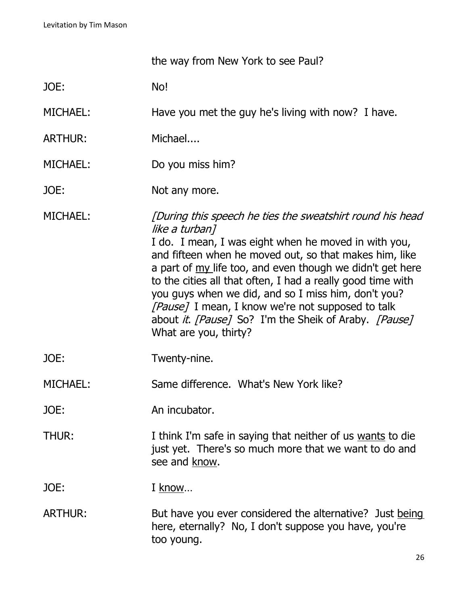|                 | the way from New York to see Paul?                                                                                                                                                                                                                                                                                                                                                                                                                                                                                                           |
|-----------------|----------------------------------------------------------------------------------------------------------------------------------------------------------------------------------------------------------------------------------------------------------------------------------------------------------------------------------------------------------------------------------------------------------------------------------------------------------------------------------------------------------------------------------------------|
| JOE:            | No!                                                                                                                                                                                                                                                                                                                                                                                                                                                                                                                                          |
| <b>MICHAEL:</b> | Have you met the guy he's living with now? I have.                                                                                                                                                                                                                                                                                                                                                                                                                                                                                           |
| <b>ARTHUR:</b>  | Michael                                                                                                                                                                                                                                                                                                                                                                                                                                                                                                                                      |
| MICHAEL:        | Do you miss him?                                                                                                                                                                                                                                                                                                                                                                                                                                                                                                                             |
| JOE:            | Not any more.                                                                                                                                                                                                                                                                                                                                                                                                                                                                                                                                |
| <b>MICHAEL:</b> | [During this speech he ties the sweatshirt round his head<br>like a turban]<br>I do. I mean, I was eight when he moved in with you,<br>and fifteen when he moved out, so that makes him, like<br>a part of <u>my</u> life too, and even though we didn't get here<br>to the cities all that often, I had a really good time with<br>you guys when we did, and so I miss him, don't you?<br>[Pause] I mean, I know we're not supposed to talk<br>about <i>it. [Pause]</i> So? I'm the Sheik of Araby. <i>[Pause]</i><br>What are you, thirty? |
| JOE:            | Twenty-nine.                                                                                                                                                                                                                                                                                                                                                                                                                                                                                                                                 |
| <b>MICHAEL:</b> | Same difference. What's New York like?                                                                                                                                                                                                                                                                                                                                                                                                                                                                                                       |
| JOE:            | An incubator.                                                                                                                                                                                                                                                                                                                                                                                                                                                                                                                                |
| THUR:           | I think I'm safe in saying that neither of us wants to die<br>just yet. There's so much more that we want to do and<br>see and know.                                                                                                                                                                                                                                                                                                                                                                                                         |
| JOE:            | I know                                                                                                                                                                                                                                                                                                                                                                                                                                                                                                                                       |
| <b>ARTHUR:</b>  | But have you ever considered the alternative? Just being<br>here, eternally? No, I don't suppose you have, you're<br>too young.                                                                                                                                                                                                                                                                                                                                                                                                              |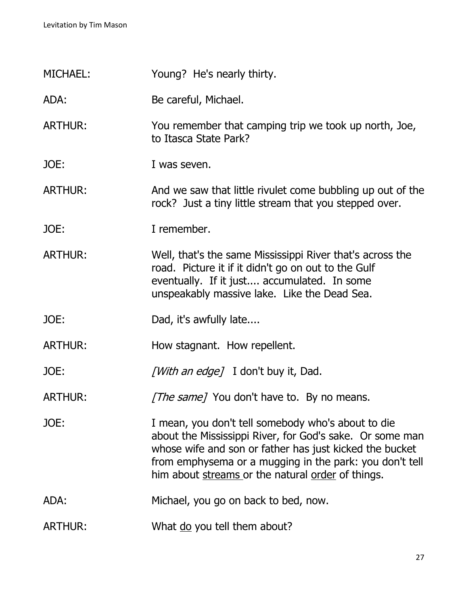- MICHAEL: Young? He's nearly thirty.
- ADA: Be careful, Michael.
- ARTHUR: You remember that camping trip we took up north, Joe, to Itasca State Park?
- JOE: I was seven.
- ARTHUR: And we saw that little rivulet come bubbling up out of the rock? Just a tiny little stream that you stepped over.
- JOE: I remember.
- ARTHUR: Well, that's the same Mississippi River that's across the road. Picture it if it didn't go on out to the Gulf eventually. If it just.... accumulated. In some unspeakably massive lake. Like the Dead Sea.
- JOE: Dad, it's awfully late....
- ARTHUR: How stagnant. How repellent.
- JOE: [With an edge] I don't buy it, Dad.
- ARTHUR: [The same] You don't have to. By no means.

JOE: I mean, you don't tell somebody who's about to die about the Mississippi River, for God's sake. Or some man whose wife and son or father has just kicked the bucket from emphysema or a mugging in the park: you don't tell him about streams or the natural order of things.

- ADA: Michael, you go on back to bed, now.
- ARTHUR: What do you tell them about?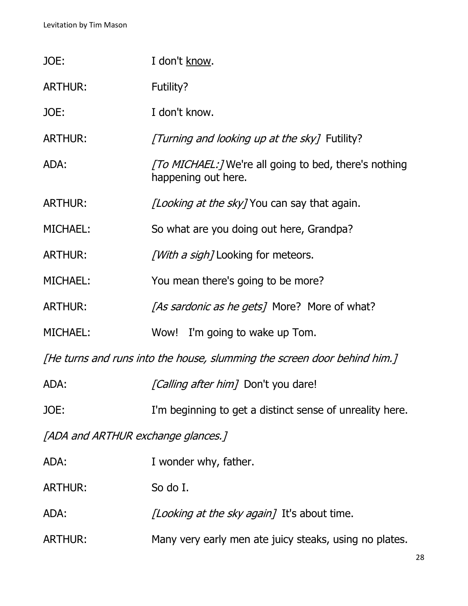| JOE:                                                                     | I don't know.                                                                |
|--------------------------------------------------------------------------|------------------------------------------------------------------------------|
| <b>ARTHUR:</b>                                                           | Futility?                                                                    |
| JOE:                                                                     | I don't know.                                                                |
| <b>ARTHUR:</b>                                                           | [Turning and looking up at the sky] Futility?                                |
| ADA:                                                                     | [To MICHAEL:] We're all going to bed, there's nothing<br>happening out here. |
| <b>ARTHUR:</b>                                                           | <i>[Looking at the sky]</i> You can say that again.                          |
| <b>MICHAEL:</b>                                                          | So what are you doing out here, Grandpa?                                     |
| <b>ARTHUR:</b>                                                           | [With a sigh] Looking for meteors.                                           |
| <b>MICHAEL:</b>                                                          | You mean there's going to be more?                                           |
| <b>ARTHUR:</b>                                                           | [As sardonic as he gets] More? More of what?                                 |
| <b>MICHAEL:</b>                                                          | Wow! I'm going to wake up Tom.                                               |
| [He turns and runs into the house, slumming the screen door behind him.] |                                                                              |
| ADA:                                                                     | <i>[Calling after him]</i> Don't you dare!                                   |
| JOE:                                                                     | I'm beginning to get a distinct sense of unreality here.                     |
| [ADA and ARTHUR exchange glances.]                                       |                                                                              |
| ADA:                                                                     | I wonder why, father.                                                        |
| <b>ARTHUR:</b>                                                           | So do I.                                                                     |
| ADA:                                                                     | <i>[Looking at the sky again]</i> It's about time.                           |
| <b>ARTHUR:</b>                                                           | Many very early men ate juicy steaks, using no plates.                       |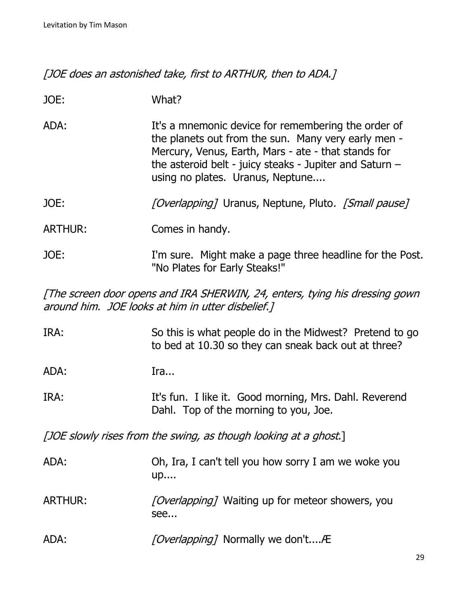[JOE does an astonished take, first to ARTHUR, then to ADA.]

JOE: What?

- ADA: It's a mnemonic device for remembering the order of the planets out from the sun. Many very early men - Mercury, Venus, Earth, Mars - ate - that stands for the asteroid belt - juicy steaks - Jupiter and Saturn – using no plates. Uranus, Neptune....
- JOE: [Overlapping] Uranus, Neptune, Pluto. [Small pause]
- ARTHUR: Comes in handy.

JOE: I'm sure. Might make a page three headline for the Post. "No Plates for Early Steaks!"

[The screen door opens and IRA SHERWIN, 24, enters, tying his dressing gown around him. JOE looks at him in utter disbelief.]

| IRA:                                                             | So this is what people do in the Midwest? Pretend to go<br>to bed at 10.30 so they can sneak back out at three? |
|------------------------------------------------------------------|-----------------------------------------------------------------------------------------------------------------|
| ADA:                                                             | Ira                                                                                                             |
| IRA:                                                             | It's fun. I like it. Good morning, Mrs. Dahl. Reverend<br>Dahl. Top of the morning to you, Joe.                 |
| [JOE slowly rises from the swing, as though looking at a ghost.] |                                                                                                                 |
| ADA:                                                             | Oh, Ira, I can't tell you how sorry I am we woke you<br><b>up</b>                                               |
| <b>ARTHUR:</b>                                                   | <i>[Overlapping]</i> Waiting up for meteor showers, you<br>see                                                  |

ADA: [Overlapping] Normally we don't.... Æ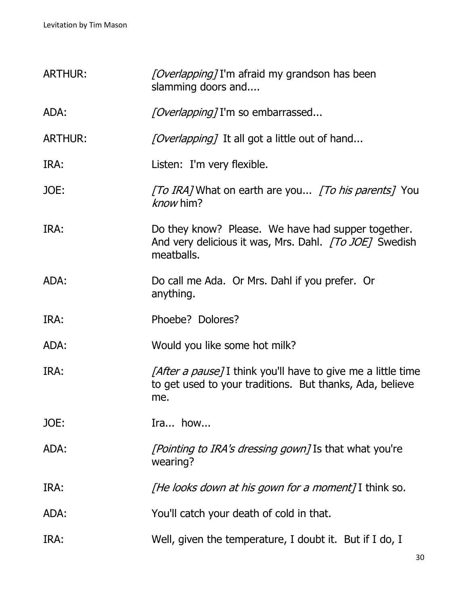| <b>ARTHUR:</b> | <i>[Overlapping]</i> I'm afraid my grandson has been<br>slamming doors and                                                             |
|----------------|----------------------------------------------------------------------------------------------------------------------------------------|
| ADA:           | <i>[Overlapping]</i> I'm so embarrassed                                                                                                |
| <b>ARTHUR:</b> | <i>[Overlapping]</i> It all got a little out of hand                                                                                   |
| IRA:           | Listen: I'm very flexible.                                                                                                             |
| JOE:           | <i>[To IRA]</i> What on earth are you <i>[To his parents]</i> You<br><i>know</i> him?                                                  |
| IRA:           | Do they know? Please. We have had supper together.<br>And very delicious it was, Mrs. Dahl. [To JOE] Swedish<br>meatballs.             |
| ADA:           | Do call me Ada. Or Mrs. Dahl if you prefer. Or<br>anything.                                                                            |
| IRA:           | Phoebe? Dolores?                                                                                                                       |
| ADA:           | Would you like some hot milk?                                                                                                          |
| IRA:           | <i>[After a pause]</i> I think you'll have to give me a little time<br>to get used to your traditions. But thanks, Ada, believe<br>me. |
| JOE:           | Ira how                                                                                                                                |
| ADA:           | <i>[Pointing to IRA's dressing gown]</i> Is that what you're<br>wearing?                                                               |
| IRA:           | <i>[He looks down at his gown for a moment]</i> I think so.                                                                            |
| ADA:           | You'll catch your death of cold in that.                                                                                               |
| IRA:           | Well, given the temperature, I doubt it. But if I do, I                                                                                |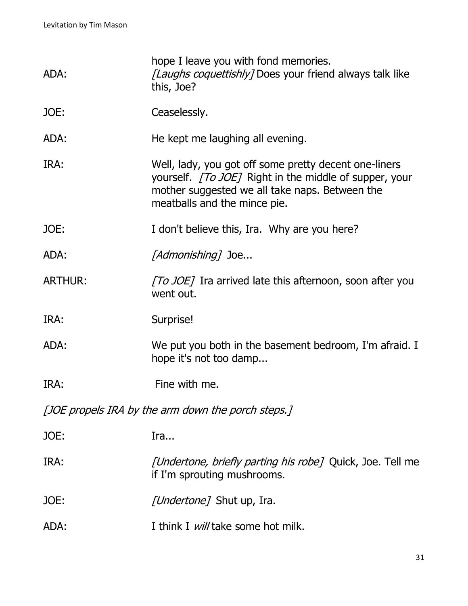| ADA:                                               | hope I leave you with fond memories.<br>[Laughs coquettishly] Does your friend always talk like<br>this, Joe?                                                                                     |
|----------------------------------------------------|---------------------------------------------------------------------------------------------------------------------------------------------------------------------------------------------------|
| JOE:                                               | Ceaselessly.                                                                                                                                                                                      |
| ADA:                                               | He kept me laughing all evening.                                                                                                                                                                  |
| IRA:                                               | Well, lady, you got off some pretty decent one-liners<br>yourself. [To JOE] Right in the middle of supper, your<br>mother suggested we all take naps. Between the<br>meatballs and the mince pie. |
| JOE:                                               | I don't believe this, Ira. Why are you here?                                                                                                                                                      |
| ADA:                                               | [Admonishing] Joe                                                                                                                                                                                 |
| <b>ARTHUR:</b>                                     | [To JOE] Ira arrived late this afternoon, soon after you<br>went out.                                                                                                                             |
| IRA:                                               | Surprise!                                                                                                                                                                                         |
| ADA:                                               | We put you both in the basement bedroom, I'm afraid. I<br>hope it's not too damp                                                                                                                  |
| IRA:                                               | Fine with me.                                                                                                                                                                                     |
| [JOE propels IRA by the arm down the porch steps.] |                                                                                                                                                                                                   |
| JOE:                                               | Ira                                                                                                                                                                                               |
| IRA:                                               | <i>[Undertone, briefly parting his robe]</i> Quick, Joe. Tell me<br>if I'm sprouting mushrooms.                                                                                                   |
| JOE:                                               | [Undertone] Shut up, Ira.                                                                                                                                                                         |
| ADA:                                               | I think I <i>will</i> take some hot milk.                                                                                                                                                         |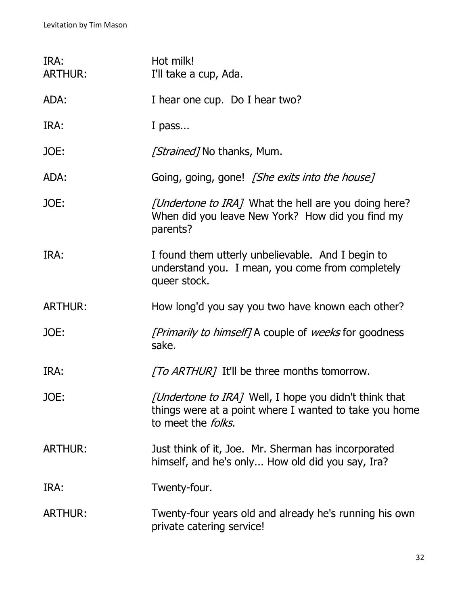| IRA:<br><b>ARTHUR:</b> | Hot milk!<br>I'll take a cup, Ada.                                                                                                           |
|------------------------|----------------------------------------------------------------------------------------------------------------------------------------------|
| ADA:                   | I hear one cup. Do I hear two?                                                                                                               |
| IRA:                   | I pass                                                                                                                                       |
| JOE:                   | <i>[Strained]</i> No thanks, Mum.                                                                                                            |
| ADA:                   | Going, going, gone! [She exits into the house]                                                                                               |
| JOE:                   | <i>[Undertone to IRA]</i> What the hell are you doing here?<br>When did you leave New York? How did you find my<br>parents?                  |
| IRA:                   | I found them utterly unbelievable. And I begin to<br>understand you. I mean, you come from completely<br>queer stock.                        |
| <b>ARTHUR:</b>         | How long'd you say you two have known each other?                                                                                            |
| JOE:                   | [Primarily to himself] A couple of weeks for goodness<br>sake.                                                                               |
| IRA:                   | [To ARTHUR] It'll be three months tomorrow.                                                                                                  |
| JOE:                   | [Undertone to IRA] Well, I hope you didn't think that<br>things were at a point where I wanted to take you home<br>to meet the <i>folks.</i> |
| <b>ARTHUR:</b>         | Just think of it, Joe. Mr. Sherman has incorporated<br>himself, and he's only How old did you say, Ira?                                      |
| IRA:                   | Twenty-four.                                                                                                                                 |
| <b>ARTHUR:</b>         | Twenty-four years old and already he's running his own<br>private catering service!                                                          |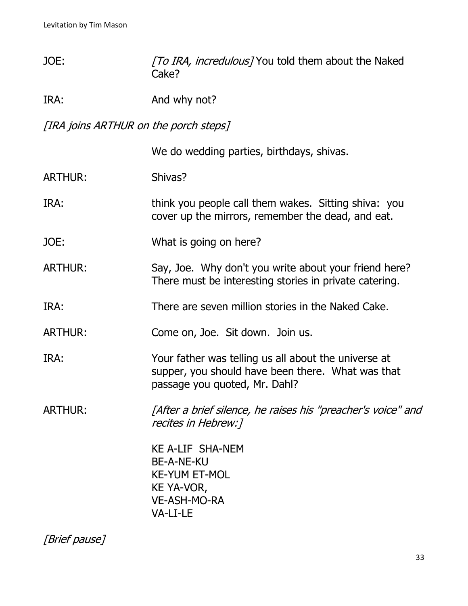| JOE: | To IRA, incredulous/You told them about the Naked |
|------|---------------------------------------------------|
|      | Cake?                                             |

IRA: And why not?

#### [IRA joins ARTHUR on the porch steps]

We do wedding parties, birthdays, shivas.

ARTHUR: Shivas?

IRA: think you people call them wakes. Sitting shiva: you cover up the mirrors, remember the dead, and eat.

- JOE: What is going on here?
- ARTHUR: Say, Joe. Why don't you write about your friend here? There must be interesting stories in private catering.
- IRA: There are seven million stories in the Naked Cake.

ARTHUR: Come on, Joe. Sit down. Join us.

IRA: Your father was telling us all about the universe at supper, you should have been there. What was that passage you quoted, Mr. Dahl?

ARTHUR: [After a brief silence, he raises his "preacher's voice" and recites in Hebrew:]

> KE A-LIF SHA-NEM BE-A-NE-KU KE-YUM ET-MOL KE YA-VOR, VE-ASH-MO-RA VA-LI-LE

[Brief pause]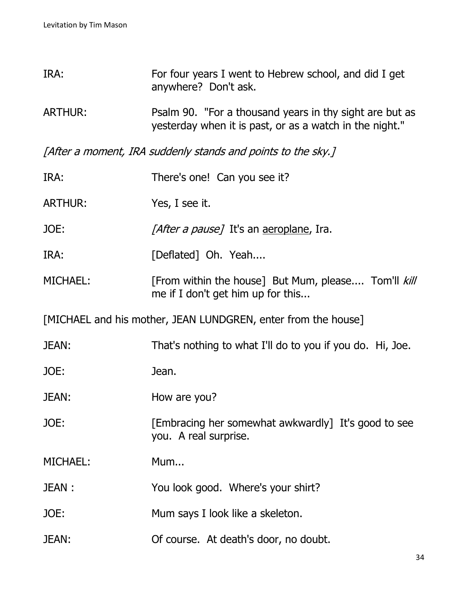| IRA:                                                         | For four years I went to Hebrew school, and did I get<br>anywhere? Don't ask.                                      |
|--------------------------------------------------------------|--------------------------------------------------------------------------------------------------------------------|
| ARTHUR:                                                      | Psalm 90. "For a thousand years in thy sight are but as<br>yesterday when it is past, or as a watch in the night." |
| [After a moment, IRA suddenly stands and points to the sky.] |                                                                                                                    |
| IRA:                                                         | There's one! Can you see it?                                                                                       |

- ARTHUR: Yes, I see it.
- JOE: [After a pause] It's an aeroplane, Ira.

IRA: [Deflated] Oh. Yeah....

MICHAEL: [From within the house] But Mum, please.... Tom'll kill me if I don't get him up for this...

[MICHAEL and his mother, JEAN LUNDGREN, enter from the house]

JEAN: That's nothing to what I'll do to you if you do. Hi, Joe.

JOE: Jean.

JEAN: How are you?

JOE: [Embracing her somewhat awkwardly] It's good to see you. A real surprise.

MICHAEL: Mum...

JEAN : You look good. Where's your shirt?

JOE: Mum says I look like a skeleton.

JEAN: Of course. At death's door, no doubt.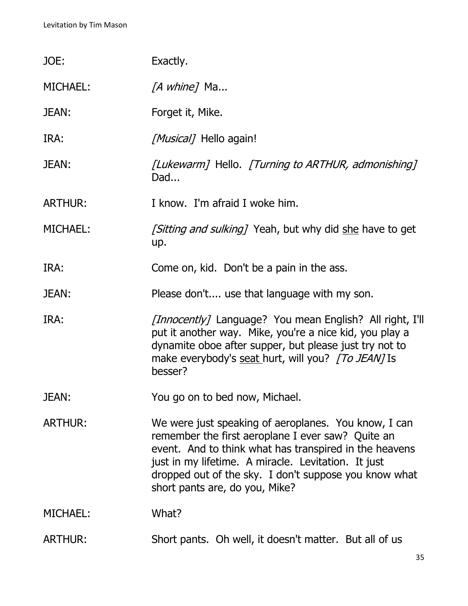| JOE:            | Exactly.                                                                                                                                                                                                                                                                                                              |
|-----------------|-----------------------------------------------------------------------------------------------------------------------------------------------------------------------------------------------------------------------------------------------------------------------------------------------------------------------|
| MICHAEL:        | <i>[A whine]</i> Ma                                                                                                                                                                                                                                                                                                   |
| JEAN:           | Forget it, Mike.                                                                                                                                                                                                                                                                                                      |
| IRA:            | [Musical] Hello again!                                                                                                                                                                                                                                                                                                |
| JEAN:           | [Lukewarm] Hello. [Turning to ARTHUR, admonishing]<br>Dad                                                                                                                                                                                                                                                             |
| <b>ARTHUR:</b>  | I know. I'm afraid I woke him.                                                                                                                                                                                                                                                                                        |
| <b>MICHAEL:</b> | [Sitting and sulking] Yeah, but why did she have to get<br>up.                                                                                                                                                                                                                                                        |
| IRA:            | Come on, kid. Don't be a pain in the ass.                                                                                                                                                                                                                                                                             |
| JEAN:           | Please don't use that language with my son.                                                                                                                                                                                                                                                                           |
| IRA:            | <i>[Innocently]</i> Language? You mean English? All right, I'll<br>put it another way. Mike, you're a nice kid, you play a<br>dynamite oboe after supper, but please just try not to<br>make everybody's seat hurt, will you? [To JEAN] Is<br>besser?                                                                 |
| JEAN:           | You go on to bed now, Michael.                                                                                                                                                                                                                                                                                        |
| <b>ARTHUR:</b>  | We were just speaking of aeroplanes. You know, I can<br>remember the first aeroplane I ever saw? Quite an<br>event. And to think what has transpired in the heavens<br>just in my lifetime. A miracle. Levitation. It just<br>dropped out of the sky. I don't suppose you know what<br>short pants are, do you, Mike? |
| MICHAEL:        | What?                                                                                                                                                                                                                                                                                                                 |
| <b>ARTHUR:</b>  | Short pants. Oh well, it doesn't matter. But all of us                                                                                                                                                                                                                                                                |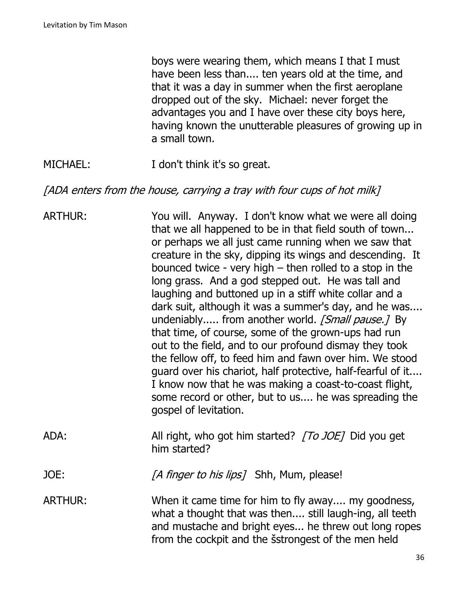boys were wearing them, which means I that I must have been less than.... ten years old at the time, and that it was a day in summer when the first aeroplane dropped out of the sky. Michael: never forget the advantages you and I have over these city boys here, having known the unutterable pleasures of growing up in a small town.

#### MICHAEL: I don't think it's so great.

#### [ADA enters from the house, carrying a tray with four cups of hot milk]

| <b>ARTHUR:</b> | You will. Anyway. I don't know what we were all doing<br>that we all happened to be in that field south of town<br>or perhaps we all just came running when we saw that<br>creature in the sky, dipping its wings and descending. It<br>bounced twice - very high $-$ then rolled to a stop in the<br>long grass. And a god stepped out. He was tall and<br>laughing and buttoned up in a stiff white collar and a<br>dark suit, although it was a summer's day, and he was<br>undeniably from another world. [Small pause.] By<br>that time, of course, some of the grown-ups had run<br>out to the field, and to our profound dismay they took<br>the fellow off, to feed him and fawn over him. We stood<br>guard over his chariot, half protective, half-fearful of it<br>I know now that he was making a coast-to-coast flight,<br>some record or other, but to us he was spreading the<br>gospel of levitation. |
|----------------|-----------------------------------------------------------------------------------------------------------------------------------------------------------------------------------------------------------------------------------------------------------------------------------------------------------------------------------------------------------------------------------------------------------------------------------------------------------------------------------------------------------------------------------------------------------------------------------------------------------------------------------------------------------------------------------------------------------------------------------------------------------------------------------------------------------------------------------------------------------------------------------------------------------------------|
| ADA:           | All right, who got him started? [To JOE] Did you get<br>him started?                                                                                                                                                                                                                                                                                                                                                                                                                                                                                                                                                                                                                                                                                                                                                                                                                                                  |

### ARTHUR: When it came time for him to fly away.... my goodness, what a thought that was then.... still laugh-ing, all teeth and mustache and bright eyes... he threw out long ropes from the cockpit and the šstrongest of the men held

JOE: [A finger to his lips] Shh, Mum, please!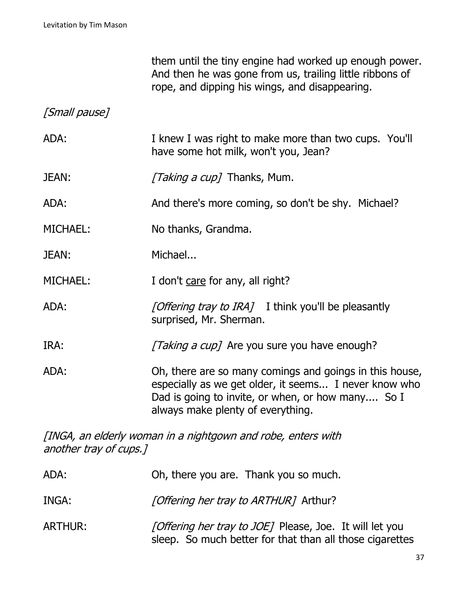|                 | them until the tiny engine had worked up enough power.<br>And then he was gone from us, trailing little ribbons of<br>rope, and dipping his wings, and disappearing.                                       |
|-----------------|------------------------------------------------------------------------------------------------------------------------------------------------------------------------------------------------------------|
| [Small pause]   |                                                                                                                                                                                                            |
| ADA:            | I knew I was right to make more than two cups. You'll<br>have some hot milk, won't you, Jean?                                                                                                              |
| JEAN:           | [Taking a cup] Thanks, Mum.                                                                                                                                                                                |
| ADA:            | And there's more coming, so don't be shy. Michael?                                                                                                                                                         |
| <b>MICHAEL:</b> | No thanks, Grandma.                                                                                                                                                                                        |
| <b>JEAN:</b>    | Michael                                                                                                                                                                                                    |
| MICHAEL:        | I don't care for any, all right?                                                                                                                                                                           |
| ADA:            | [Offering tray to IRA] I think you'll be pleasantly<br>surprised, Mr. Sherman.                                                                                                                             |
| IRA:            | [Taking a cup] Are you sure you have enough?                                                                                                                                                               |
| ADA:            | Oh, there are so many comings and goings in this house,<br>especially as we get older, it seems I never know who<br>Dad is going to invite, or when, or how many So I<br>always make plenty of everything. |

[INGA, an elderly woman in a nightgown and robe, enters with another tray of cups.]

| ADA:    | Oh, there you are. Thank you so much.                                                                                      |
|---------|----------------------------------------------------------------------------------------------------------------------------|
| INGA:   | [Offering her tray to ARTHUR] Arthur?                                                                                      |
| ARTHUR: | <i>[Offering her tray to JOE]</i> Please, Joe. It will let you<br>sleep. So much better for that than all those cigarettes |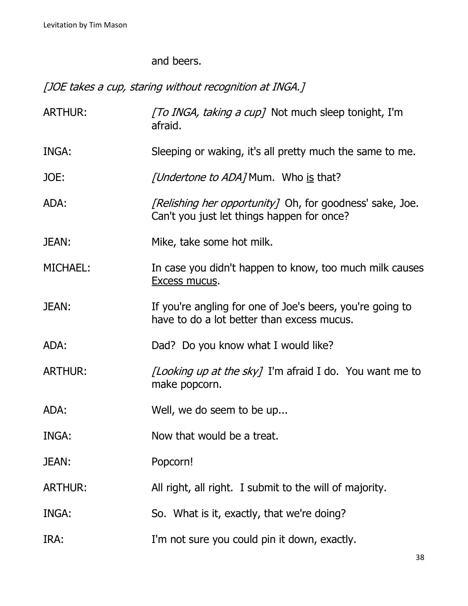## and beers.

[JOE takes a cup, staring without recognition at INGA.]

| [To INGA, taking a cup] Not much sleep tonight, I'm<br>afraid.                                                |
|---------------------------------------------------------------------------------------------------------------|
| Sleeping or waking, it's all pretty much the same to me.                                                      |
| <i>[Undertone to ADA]</i> Mum. Who is that?                                                                   |
| <i>[Relishing her opportunity]</i> Oh, for goodness' sake, Joe.<br>Can't you just let things happen for once? |
| Mike, take some hot milk.                                                                                     |
| In case you didn't happen to know, too much milk causes<br><b>Excess mucus.</b>                               |
| If you're angling for one of Joe's beers, you're going to<br>have to do a lot better than excess mucus.       |
| Dad? Do you know what I would like?                                                                           |
|                                                                                                               |
| [Looking up at the sky] I'm afraid I do. You want me to<br>make popcorn.                                      |
| Well, we do seem to be up                                                                                     |
| Now that would be a treat.                                                                                    |
| Popcorn!                                                                                                      |
| All right, all right. I submit to the will of majority.                                                       |
| So. What is it, exactly, that we're doing?                                                                    |
|                                                                                                               |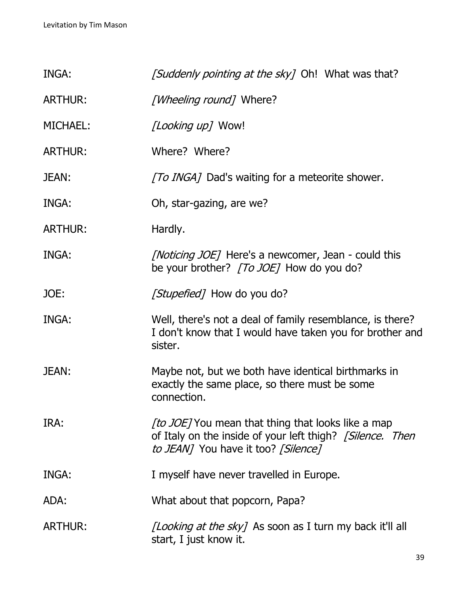| INGA:          | [Suddenly pointing at the sky] Oh! What was that?                                                                                                              |
|----------------|----------------------------------------------------------------------------------------------------------------------------------------------------------------|
| <b>ARTHUR:</b> | [Wheeling round] Where?                                                                                                                                        |
| MICHAEL:       | [Looking up] Wow!                                                                                                                                              |
| <b>ARTHUR:</b> | Where? Where?                                                                                                                                                  |
| JEAN:          | [To INGA] Dad's waiting for a meteorite shower.                                                                                                                |
| INGA:          | Oh, star-gazing, are we?                                                                                                                                       |
| <b>ARTHUR:</b> | Hardly.                                                                                                                                                        |
| INGA:          | [Noticing JOE] Here's a newcomer, Jean - could this<br>be your brother? [To JOE] How do you do?                                                                |
| JOE:           | <i>[Stupefied]</i> How do you do?                                                                                                                              |
| INGA:          | Well, there's not a deal of family resemblance, is there?<br>I don't know that I would have taken you for brother and<br>sister.                               |
| JEAN:          | Maybe not, but we both have identical birthmarks in<br>exactly the same place, so there must be some<br>connection.                                            |
| IRA:           | <i>(to JOE</i> ) You mean that thing that looks like a map<br>of Italy on the inside of your left thigh? [Silence. Then<br>to JEAN] You have it too? [Silence] |
| INGA:          | I myself have never travelled in Europe.                                                                                                                       |
| ADA:           | What about that popcorn, Papa?                                                                                                                                 |
| <b>ARTHUR:</b> | <i>[Looking at the sky]</i> As soon as I turn my back it'll all<br>start, I just know it.                                                                      |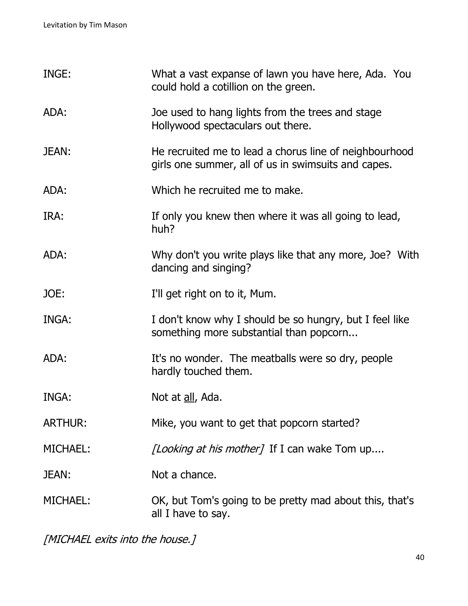| INGE:           | What a vast expanse of lawn you have here, Ada. You<br>could hold a cotillion on the green.                   |
|-----------------|---------------------------------------------------------------------------------------------------------------|
| ADA:            | Joe used to hang lights from the trees and stage<br>Hollywood spectaculars out there.                         |
| JEAN:           | He recruited me to lead a chorus line of neighbourhood<br>girls one summer, all of us in swimsuits and capes. |
| ADA:            | Which he recruited me to make.                                                                                |
| IRA:            | If only you knew then where it was all going to lead,<br>huh?                                                 |
| ADA:            | Why don't you write plays like that any more, Joe? With<br>dancing and singing?                               |
| JOE:            | I'll get right on to it, Mum.                                                                                 |
| INGA:           | I don't know why I should be so hungry, but I feel like<br>something more substantial than popcorn            |
| ADA:            | It's no wonder. The meatballs were so dry, people<br>hardly touched them.                                     |
| INGA:           | Not at all, Ada.                                                                                              |
| <b>ARTHUR:</b>  | Mike, you want to get that popcorn started?                                                                   |
| MICHAEL:        | <i>[Looking at his mother]</i> If I can wake Tom up                                                           |
| JEAN:           | Not a chance.                                                                                                 |
| <b>MICHAEL:</b> | OK, but Tom's going to be pretty mad about this, that's<br>all I have to say.                                 |

[MICHAEL exits into the house.]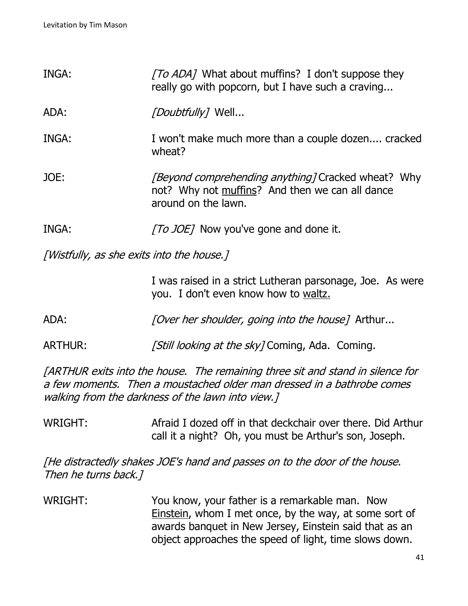| INGA: | [To ADA] What about muffins? I don't suppose they<br>really go with popcorn, but I have such a craving                              |
|-------|-------------------------------------------------------------------------------------------------------------------------------------|
| ADA:  | <i>[Doubtfully]</i> Well                                                                                                            |
| INGA: | I won't make much more than a couple dozen cracked<br>wheat?                                                                        |
| JOE:  | <i>[Beyond comprehending anything]</i> Cracked wheat? Why<br>not? Why not muffins? And then we can all dance<br>around on the lawn. |
| INGA: | [To JOE] Now you've gone and done it.                                                                                               |
|       |                                                                                                                                     |

[Wistfully, as she exits into the house.]

I was raised in a strict Lutheran parsonage, Joe. As were you. I don't even know how to waltz.

- ADA: [Over her shoulder, going into the house] Arthur...
- ARTHUR: [Still looking at the sky] Coming, Ada. Coming.

[ARTHUR exits into the house. The remaining three sit and stand in silence for a few moments. Then a moustached older man dressed in a bathrobe comes walking from the darkness of the lawn into view.]

WRIGHT: Afraid I dozed off in that deckchair over there. Did Arthur call it a night? Oh, you must be Arthur's son, Joseph.

[He distractedly shakes JOE's hand and passes on to the door of the house. Then he turns back.]

WRIGHT: You know, your father is a remarkable man. Now Einstein, whom I met once, by the way, at some sort of awards banquet in New Jersey, Einstein said that as an object approaches the speed of light, time slows down.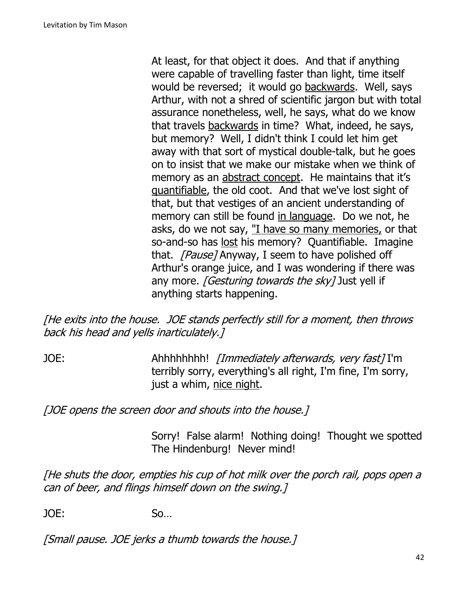At least, for that object it does. And that if anything were capable of travelling faster than light, time itself would be reversed; it would go backwards. Well, says Arthur, with not a shred of scientific jargon but with total assurance nonetheless, well, he says, what do we know that travels backwards in time? What, indeed, he says, but memory? Well, I didn't think I could let him get away with that sort of mystical double-talk, but he goes on to insist that we make our mistake when we think of memory as an abstract concept. He maintains that it's quantifiable, the old coot. And that we've lost sight of that, but that vestiges of an ancient understanding of memory can still be found in language. Do we not, he asks, do we not say, "I have so many memories, or that so-and-so has lost his memory? Quantifiable. Imagine that. [Pause] Anyway, I seem to have polished off Arthur's orange juice, and I was wondering if there was any more. [Gesturing towards the sky] Just yell if anything starts happening.

[He exits into the house. JOE stands perfectly still for a moment, then throws back his head and yells inarticulately.]

JOE: Ahhhhhhhh! [Immediately afterwards, very fast] I'm terribly sorry, everything's all right, I'm fine, I'm sorry, just a whim, nice night.

[JOE opens the screen door and shouts into the house.]

Sorry! False alarm! Nothing doing! Thought we spotted The Hindenburg! Never mind!

[He shuts the door, empties his cup of hot milk over the porch rail, pops open a can of beer, and flings himself down on the swing.]

JOE: So…

[Small pause. JOE jerks a thumb towards the house.]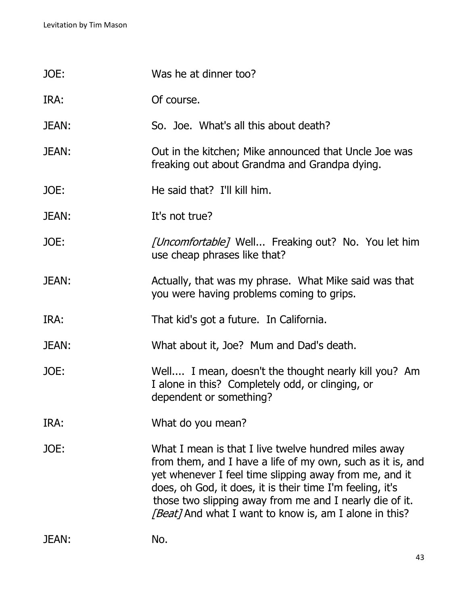| JOE:  | Was he at dinner too?                                                                                                                                                                                                                                                                                                                                                 |
|-------|-----------------------------------------------------------------------------------------------------------------------------------------------------------------------------------------------------------------------------------------------------------------------------------------------------------------------------------------------------------------------|
| IRA:  | Of course.                                                                                                                                                                                                                                                                                                                                                            |
| JEAN: | So. Joe. What's all this about death?                                                                                                                                                                                                                                                                                                                                 |
| JEAN: | Out in the kitchen; Mike announced that Uncle Joe was<br>freaking out about Grandma and Grandpa dying.                                                                                                                                                                                                                                                                |
| JOE:  | He said that? I'll kill him.                                                                                                                                                                                                                                                                                                                                          |
| JEAN: | It's not true?                                                                                                                                                                                                                                                                                                                                                        |
| JOE:  | <i>[Uncomfortable]</i> Well Freaking out? No. You let him<br>use cheap phrases like that?                                                                                                                                                                                                                                                                             |
| JEAN: | Actually, that was my phrase. What Mike said was that<br>you were having problems coming to grips.                                                                                                                                                                                                                                                                    |
| IRA:  | That kid's got a future. In California.                                                                                                                                                                                                                                                                                                                               |
| JEAN: | What about it, Joe? Mum and Dad's death.                                                                                                                                                                                                                                                                                                                              |
| JOE:  | Well I mean, doesn't the thought nearly kill you? Am<br>I alone in this? Completely odd, or clinging, or<br>dependent or something?                                                                                                                                                                                                                                   |
| IRA:  | What do you mean?                                                                                                                                                                                                                                                                                                                                                     |
| JOE:  | What I mean is that I live twelve hundred miles away<br>from them, and I have a life of my own, such as it is, and<br>yet whenever I feel time slipping away from me, and it<br>does, oh God, it does, it is their time I'm feeling, it's<br>those two slipping away from me and I nearly die of it.<br><i>[Beat]</i> And what I want to know is, am I alone in this? |
| JEAN: | No.                                                                                                                                                                                                                                                                                                                                                                   |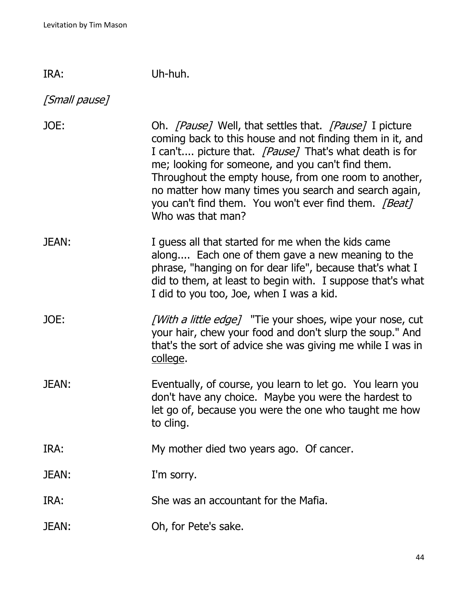| IRA:          | Uh-huh.                                                                                                                                                                                                                                                                                                                                                                                                                                          |
|---------------|--------------------------------------------------------------------------------------------------------------------------------------------------------------------------------------------------------------------------------------------------------------------------------------------------------------------------------------------------------------------------------------------------------------------------------------------------|
| [Small pause] |                                                                                                                                                                                                                                                                                                                                                                                                                                                  |
| JOE:          | Oh. <i>[Pause]</i> Well, that settles that. <i>[Pause]</i> I picture<br>coming back to this house and not finding them in it, and<br>I can't picture that. [Pause] That's what death is for<br>me; looking for someone, and you can't find them.<br>Throughout the empty house, from one room to another,<br>no matter how many times you search and search again,<br>you can't find them. You won't ever find them. [Beat]<br>Who was that man? |
| JEAN:         | I guess all that started for me when the kids came<br>along Each one of them gave a new meaning to the<br>phrase, "hanging on for dear life", because that's what I<br>did to them, at least to begin with. I suppose that's what<br>I did to you too, Joe, when I was a kid.                                                                                                                                                                    |
| JOE:          | [With a little edge] "Tie your shoes, wipe your nose, cut<br>your hair, chew your food and don't slurp the soup." And<br>that's the sort of advice she was giving me while I was in<br>college.                                                                                                                                                                                                                                                  |
| JEAN:         | Eventually, of course, you learn to let go. You learn you<br>don't have any choice. Maybe you were the hardest to<br>let go of, because you were the one who taught me how<br>to cling.                                                                                                                                                                                                                                                          |
| IRA:          | My mother died two years ago. Of cancer.                                                                                                                                                                                                                                                                                                                                                                                                         |
| <b>JEAN:</b>  | I'm sorry.                                                                                                                                                                                                                                                                                                                                                                                                                                       |
| IRA:          | She was an accountant for the Mafia.                                                                                                                                                                                                                                                                                                                                                                                                             |
| JEAN:         | Oh, for Pete's sake.                                                                                                                                                                                                                                                                                                                                                                                                                             |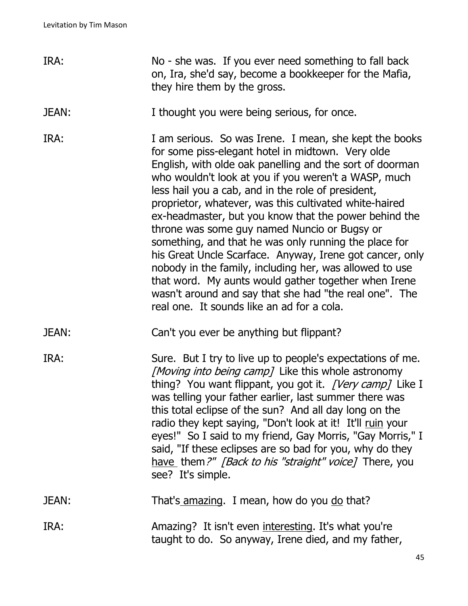| IRA:         | No - she was. If you ever need something to fall back<br>on, Ira, she'd say, become a bookkeeper for the Mafia,<br>they hire them by the gross.                                                                                                                                                                                                                                                                                                                                                                                                                                                                                                                                                                                                                                                          |
|--------------|----------------------------------------------------------------------------------------------------------------------------------------------------------------------------------------------------------------------------------------------------------------------------------------------------------------------------------------------------------------------------------------------------------------------------------------------------------------------------------------------------------------------------------------------------------------------------------------------------------------------------------------------------------------------------------------------------------------------------------------------------------------------------------------------------------|
| JEAN:        | I thought you were being serious, for once.                                                                                                                                                                                                                                                                                                                                                                                                                                                                                                                                                                                                                                                                                                                                                              |
| IRA:         | I am serious. So was Irene. I mean, she kept the books<br>for some piss-elegant hotel in midtown. Very olde<br>English, with olde oak panelling and the sort of doorman<br>who wouldn't look at you if you weren't a WASP, much<br>less hail you a cab, and in the role of president,<br>proprietor, whatever, was this cultivated white-haired<br>ex-headmaster, but you know that the power behind the<br>throne was some guy named Nuncio or Bugsy or<br>something, and that he was only running the place for<br>his Great Uncle Scarface. Anyway, Irene got cancer, only<br>nobody in the family, including her, was allowed to use<br>that word. My aunts would gather together when Irene<br>wasn't around and say that she had "the real one". The<br>real one. It sounds like an ad for a cola. |
| JEAN:        | Can't you ever be anything but flippant?                                                                                                                                                                                                                                                                                                                                                                                                                                                                                                                                                                                                                                                                                                                                                                 |
| IRA:         | Sure. But I try to live up to people's expectations of me.<br>[Moving into being camp] Like this whole astronomy<br>thing? You want flippant, you got it. [Very camp] Like I<br>was telling your father earlier, last summer there was<br>this total eclipse of the sun? And all day long on the<br>radio they kept saying, "Don't look at it! It'll ruin your<br>eyes!" So I said to my friend, Gay Morris, "Gay Morris," I<br>said, "If these eclipses are so bad for you, why do they<br>have them?" [Back to his "straight" voice] There, you<br>see? It's simple.                                                                                                                                                                                                                                   |
| <b>JEAN:</b> | That's amazing. I mean, how do you do that?                                                                                                                                                                                                                                                                                                                                                                                                                                                                                                                                                                                                                                                                                                                                                              |
| IRA:         | Amazing? It isn't even interesting. It's what you're<br>taught to do. So anyway, Irene died, and my father,                                                                                                                                                                                                                                                                                                                                                                                                                                                                                                                                                                                                                                                                                              |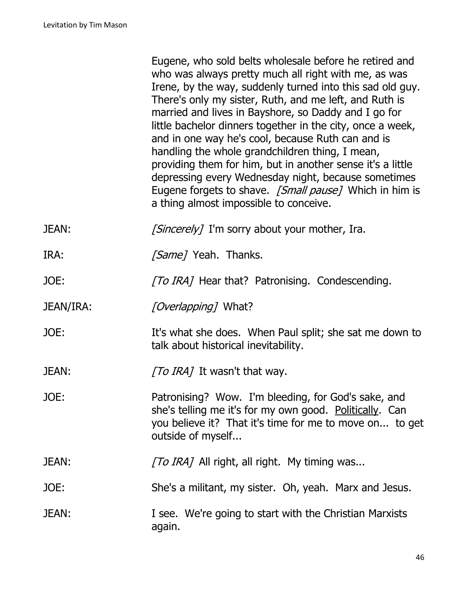|           | Eugene, who sold belts wholesale before he retired and<br>who was always pretty much all right with me, as was<br>Irene, by the way, suddenly turned into this sad old guy.<br>There's only my sister, Ruth, and me left, and Ruth is<br>married and lives in Bayshore, so Daddy and I go for<br>little bachelor dinners together in the city, once a week,<br>and in one way he's cool, because Ruth can and is<br>handling the whole grandchildren thing, I mean,<br>providing them for him, but in another sense it's a little<br>depressing every Wednesday night, because sometimes<br>Eugene forgets to shave. [Small pause] Which in him is<br>a thing almost impossible to conceive. |
|-----------|----------------------------------------------------------------------------------------------------------------------------------------------------------------------------------------------------------------------------------------------------------------------------------------------------------------------------------------------------------------------------------------------------------------------------------------------------------------------------------------------------------------------------------------------------------------------------------------------------------------------------------------------------------------------------------------------|
| JEAN:     | <i>[Sincerely]</i> I'm sorry about your mother, Ira.                                                                                                                                                                                                                                                                                                                                                                                                                                                                                                                                                                                                                                         |
| IRA:      | <i>[Same]</i> Yeah. Thanks.                                                                                                                                                                                                                                                                                                                                                                                                                                                                                                                                                                                                                                                                  |
| JOE:      | [To IRA] Hear that? Patronising. Condescending.                                                                                                                                                                                                                                                                                                                                                                                                                                                                                                                                                                                                                                              |
| JEAN/IRA: | [Overlapping] What?                                                                                                                                                                                                                                                                                                                                                                                                                                                                                                                                                                                                                                                                          |
| JOE:      | It's what she does. When Paul split; she sat me down to<br>talk about historical inevitability.                                                                                                                                                                                                                                                                                                                                                                                                                                                                                                                                                                                              |
| JEAN:     | [To IRA] It wasn't that way.                                                                                                                                                                                                                                                                                                                                                                                                                                                                                                                                                                                                                                                                 |
| JOE:      | Patronising? Wow. I'm bleeding, for God's sake, and<br>she's telling me it's for my own good. Politically. Can<br>you believe it? That it's time for me to move on to get<br>outside of myself                                                                                                                                                                                                                                                                                                                                                                                                                                                                                               |
| JEAN:     | [To IRA] All right, all right. My timing was                                                                                                                                                                                                                                                                                                                                                                                                                                                                                                                                                                                                                                                 |
| JOE:      | She's a militant, my sister. Oh, yeah. Marx and Jesus.                                                                                                                                                                                                                                                                                                                                                                                                                                                                                                                                                                                                                                       |
| JEAN:     | I see. We're going to start with the Christian Marxists<br>again.                                                                                                                                                                                                                                                                                                                                                                                                                                                                                                                                                                                                                            |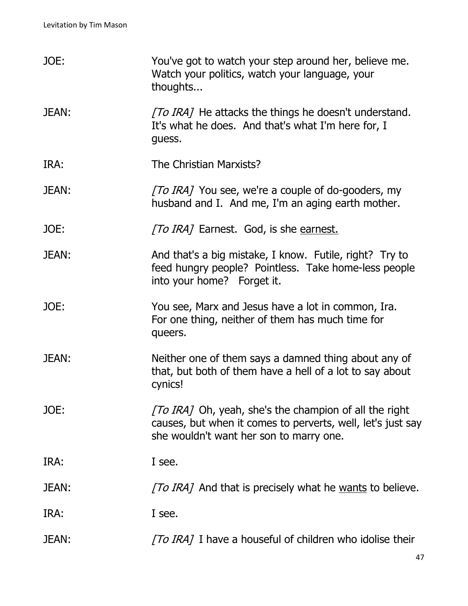| JOE:  | You've got to watch your step around her, believe me.<br>Watch your politics, watch your language, your<br>thoughts                                              |
|-------|------------------------------------------------------------------------------------------------------------------------------------------------------------------|
| JEAN: | [To IRA] He attacks the things he doesn't understand.<br>It's what he does. And that's what I'm here for, I<br>quess.                                            |
| IRA:  | The Christian Marxists?                                                                                                                                          |
| JEAN: | <i>[To IRA]</i> You see, we're a couple of do-gooders, my<br>husband and I. And me, I'm an aging earth mother.                                                   |
| JOE:  | [To IRA] Earnest. God, is she earnest.                                                                                                                           |
| JEAN: | And that's a big mistake, I know. Futile, right? Try to<br>feed hungry people? Pointless. Take home-less people<br>into your home? Forget it.                    |
| JOE:  | You see, Marx and Jesus have a lot in common, Ira.<br>For one thing, neither of them has much time for<br>queers.                                                |
| JEAN: | Neither one of them says a damned thing about any of<br>that, but both of them have a hell of a lot to say about<br>cynics!                                      |
| JOE:  | [To IRA] Oh, yeah, she's the champion of all the right<br>causes, but when it comes to perverts, well, let's just say<br>she wouldn't want her son to marry one. |
| IRA:  | I see.                                                                                                                                                           |
| JEAN: | [To IRA] And that is precisely what he wants to believe.                                                                                                         |
| IRA:  | I see.                                                                                                                                                           |
| JEAN: | [To IRA] I have a houseful of children who idolise their                                                                                                         |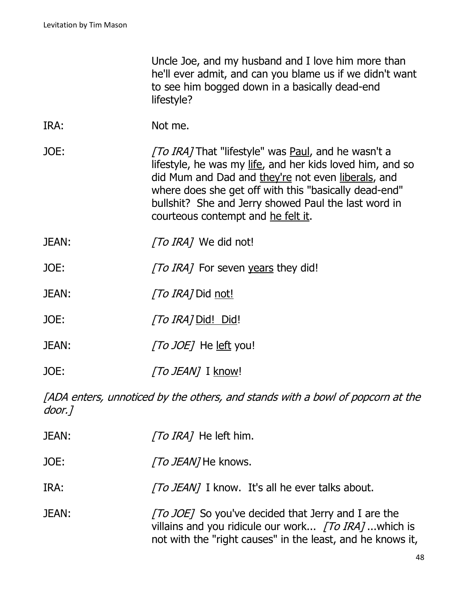|       | Uncle Joe, and my husband and I love him more than<br>he'll ever admit, and can you blame us if we didn't want<br>to see him bogged down in a basically dead-end<br>lifestyle?                                                                                                                                                |
|-------|-------------------------------------------------------------------------------------------------------------------------------------------------------------------------------------------------------------------------------------------------------------------------------------------------------------------------------|
| IRA:  | Not me.                                                                                                                                                                                                                                                                                                                       |
| JOE:  | [To IRA] That "lifestyle" was Paul, and he wasn't a<br>lifestyle, he was my life, and her kids loved him, and so<br>did Mum and Dad and they're not even liberals, and<br>where does she get off with this "basically dead-end"<br>bullshit? She and Jerry showed Paul the last word in<br>courteous contempt and he felt it. |
| JEAN: | <i>To IRAT</i> We did not!                                                                                                                                                                                                                                                                                                    |
| JOE:  | [To IRA] For seven years they did!                                                                                                                                                                                                                                                                                            |
| JEAN: | <i>To IRA7</i> Did not!                                                                                                                                                                                                                                                                                                       |
| JOE:  | [To IRA] Did! Did!                                                                                                                                                                                                                                                                                                            |
| JEAN: | [To JOE] He left you!                                                                                                                                                                                                                                                                                                         |
| JOE:  | <i>[To JEAN]</i> I know!                                                                                                                                                                                                                                                                                                      |
|       |                                                                                                                                                                                                                                                                                                                               |

[ADA enters, unnoticed by the others, and stands with a bowl of popcorn at the door.]

| JEAN: | [To IRA] He left him.                                                                                                                                                           |
|-------|---------------------------------------------------------------------------------------------------------------------------------------------------------------------------------|
| JOE:  | <i>[To JEAN]</i> He knows.                                                                                                                                                      |
| IRA:  | [To JEAN] I know. It's all he ever talks about.                                                                                                                                 |
| JEAN: | <i>[To JOE]</i> So you've decided that Jerry and I are the<br>villains and you ridicule our work [To IRA]which is<br>not with the "right causes" in the least, and he knows it, |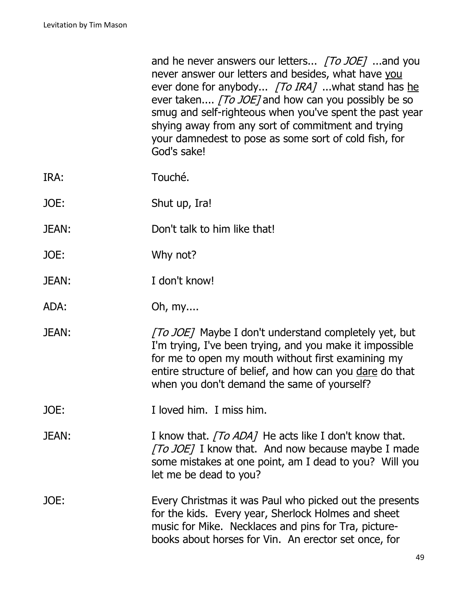|       | and he never answers our letters [To JOE] and you<br>never answer our letters and besides, what have you<br>ever done for anybody [To IRA] what stand has he<br>ever taken [To JOE] and how can you possibly be so<br>smug and self-righteous when you've spent the past year<br>shying away from any sort of commitment and trying<br>your damnedest to pose as some sort of cold fish, for<br>God's sake! |
|-------|-------------------------------------------------------------------------------------------------------------------------------------------------------------------------------------------------------------------------------------------------------------------------------------------------------------------------------------------------------------------------------------------------------------|
| IRA:  | Touché.                                                                                                                                                                                                                                                                                                                                                                                                     |
| JOE:  | Shut up, Ira!                                                                                                                                                                                                                                                                                                                                                                                               |
| JEAN: | Don't talk to him like that!                                                                                                                                                                                                                                                                                                                                                                                |
| JOE:  | Why not?                                                                                                                                                                                                                                                                                                                                                                                                    |
| JEAN: | I don't know!                                                                                                                                                                                                                                                                                                                                                                                               |
| ADA:  | Oh, $my$                                                                                                                                                                                                                                                                                                                                                                                                    |
| JEAN: | [To JOE] Maybe I don't understand completely yet, but<br>I'm trying, I've been trying, and you make it impossible<br>for me to open my mouth without first examining my<br>entire structure of belief, and how can you dare do that<br>when you don't demand the same of yourself?                                                                                                                          |
| JOE:  | I loved him. I miss him.                                                                                                                                                                                                                                                                                                                                                                                    |
| JEAN: | I know that. [To ADA] He acts like I don't know that.<br>[To JOE] I know that. And now because maybe I made<br>some mistakes at one point, am I dead to you? Will you<br>let me be dead to you?                                                                                                                                                                                                             |
| JOE:  | Every Christmas it was Paul who picked out the presents<br>for the kids. Every year, Sherlock Holmes and sheet<br>music for Mike. Necklaces and pins for Tra, picture-<br>books about horses for Vin. An erector set once, for                                                                                                                                                                              |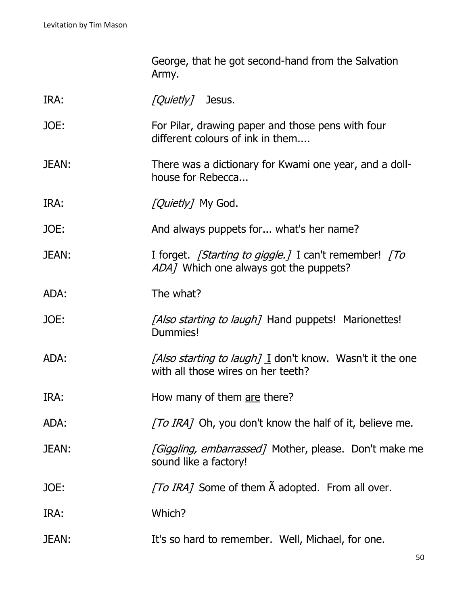|       | George, that he got second-hand from the Salvation<br>Army.                                      |
|-------|--------------------------------------------------------------------------------------------------|
| IRA:  | [Quietly] Jesus.                                                                                 |
| JOE:  | For Pilar, drawing paper and those pens with four<br>different colours of ink in them            |
| JEAN: | There was a dictionary for Kwami one year, and a doll-<br>house for Rebecca                      |
| IRA:  | [Quietly] My God.                                                                                |
| JOE:  | And always puppets for what's her name?                                                          |
| JEAN: | I forget. [Starting to giggle.] I can't remember! [To<br>ADA] Which one always got the puppets?  |
| ADA:  | The what?                                                                                        |
| JOE:  | [Also starting to laugh] Hand puppets! Marionettes!<br>Dummies!                                  |
| ADA:  | [Also starting to laugh] $I$ don't know. Wasn't it the one<br>with all those wires on her teeth? |
| IRA:  | How many of them are there?                                                                      |
| ADA:  | [To IRA] Oh, you don't know the half of it, believe me.                                          |
| JEAN: | [Giggling, embarrassed] Mother, please. Don't make me<br>sound like a factory!                   |
| JOE:  | [To IRA] Some of them A adopted. From all over.                                                  |
| IRA:  | Which?                                                                                           |
| JEAN: | It's so hard to remember. Well, Michael, for one.                                                |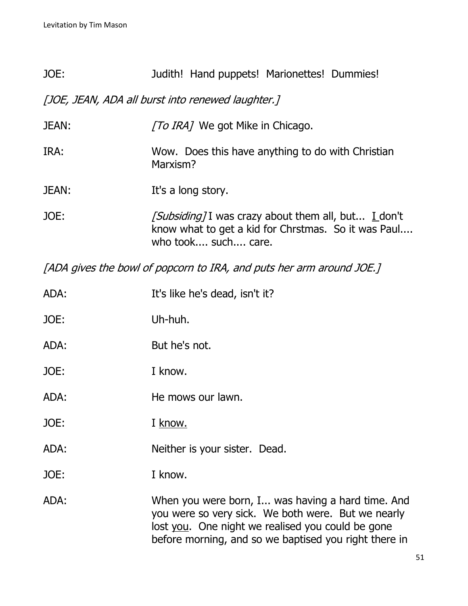| JOE:                                              | Judith! Hand puppets! Marionettes! Dummies!                                                                                       |
|---------------------------------------------------|-----------------------------------------------------------------------------------------------------------------------------------|
| [JOE, JEAN, ADA all burst into renewed laughter.] |                                                                                                                                   |
| JEAN:                                             | <i>[To IRA]</i> We got Mike in Chicago.                                                                                           |
| IRA:                                              | Wow. Does this have anything to do with Christian<br>Marxism?                                                                     |
| JEAN:                                             | It's a long story.                                                                                                                |
| JOE:                                              | [Subsiding] I was crazy about them all, but I don't<br>know what to get a kid for Chrstmas. So it was Paul<br>who took such care. |

[ADA gives the bowl of popcorn to IRA, and puts her arm around JOE.]

| It's like he's dead, isn't it?                                                                                                                                                                                        |
|-----------------------------------------------------------------------------------------------------------------------------------------------------------------------------------------------------------------------|
| Uh-huh.                                                                                                                                                                                                               |
| But he's not.                                                                                                                                                                                                         |
| I know.                                                                                                                                                                                                               |
| He mows our lawn.                                                                                                                                                                                                     |
| <u>I know.</u>                                                                                                                                                                                                        |
| Neither is your sister. Dead.                                                                                                                                                                                         |
| I know.                                                                                                                                                                                                               |
| When you were born, I was having a hard time. And<br>you were so very sick. We both were. But we nearly<br>lost you. One night we realised you could be gone<br>before morning, and so we baptised you right there in |
|                                                                                                                                                                                                                       |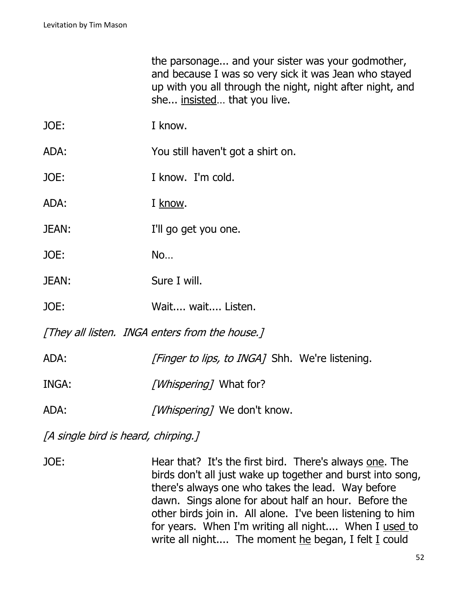the parsonage... and your sister was your godmother, and because I was so very sick it was Jean who stayed up with you all through the night, night after night, and she... insisted… that you live.

ADA: You still haven't got a shirt on.

JOE: I know. I'm cold.

ADA: I know.

JEAN: I'll go get you one.

JOE: No…

JEAN: Sure I will.

JOE: Wait.... wait.... Listen.

[They all listen. INGA enters from the house.]

| [Finger to lips, to INGA] Shh. We're listening.<br>ADA: |  |
|---------------------------------------------------------|--|
|---------------------------------------------------------|--|

- INGA: [Whispering] What for?
- ADA:  $\int Wh is pering \int W$  we don't know.

[A single bird is heard, chirping.]

JOE: Hear that? It's the first bird. There's always one. The birds don't all just wake up together and burst into song, there's always one who takes the lead. Way before dawn. Sings alone for about half an hour. Before the other birds join in. All alone. I've been listening to him for years. When I'm writing all night.... When I used to write all night.... The moment he began, I felt I could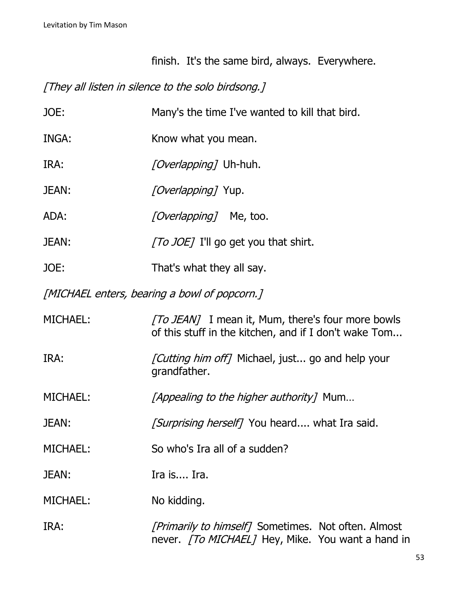finish. It's the same bird, always. Everywhere.

[They all listen in silence to the solo birdsong.]

| JOE:                                         | Many's the time I've wanted to kill that bird.                                                                  |
|----------------------------------------------|-----------------------------------------------------------------------------------------------------------------|
| INGA:                                        | Know what you mean.                                                                                             |
| IRA:                                         | <i>[Overlapping]</i> Uh-huh.                                                                                    |
| JEAN:                                        | <i>[Overlapping]</i> Yup.                                                                                       |
| ADA:                                         | [Overlapping] Me, too.                                                                                          |
| JEAN:                                        | [To JOE] I'll go get you that shirt.                                                                            |
| JOE:                                         | That's what they all say.                                                                                       |
| [MICHAEL enters, bearing a bowl of popcorn.] |                                                                                                                 |
| MICHAEL:                                     | [To JEAN] I mean it, Mum, there's four more bowls<br>of this stuff in the kitchen, and if I don't wake Tom      |
| IRA:                                         | [Cutting him off] Michael, just go and help your<br>grandfather.                                                |
| MICHAEL:                                     | [Appealing to the higher authority] Mum                                                                         |
| JEAN:                                        | [Surprising herself] You heard what Ira said.                                                                   |
| MICHAEL:                                     | So who's Ira all of a sudden?                                                                                   |
| JEAN:                                        | Ira is Ira.                                                                                                     |
| MICHAEL:                                     | No kidding.                                                                                                     |
| IRA:                                         | <i>[Primarily to himself]</i> Sometimes. Not often. Almost<br>never. [To MICHAEL] Hey, Mike. You want a hand in |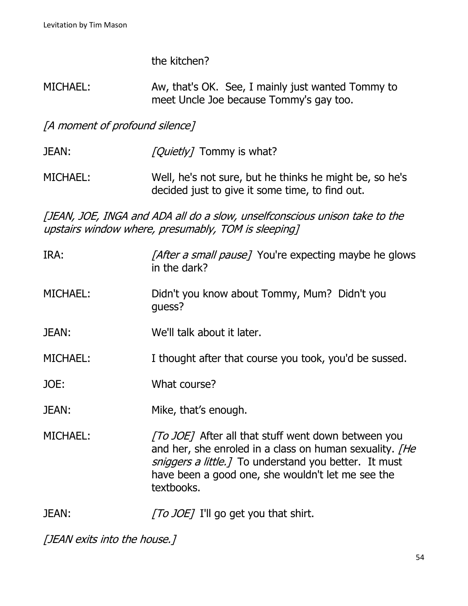the kitchen?

MICHAEL: Aw, that's OK. See, I mainly just wanted Tommy to meet Uncle Joe because Tommy's gay too.

[A moment of profound silence]

JEAN:  $\sqrt{Quiet/y}$  Tommy is what?

MICHAEL: Well, he's not sure, but he thinks he might be, so he's decided just to give it some time, to find out.

[JEAN, JOE, INGA and ADA all do a slow, unselfconscious unison take to the upstairs window where, presumably, TOM is sleeping]

| IRA:            | [After a small pause] You're expecting maybe he glows<br>in the dark?                                                                                                                                                                                       |
|-----------------|-------------------------------------------------------------------------------------------------------------------------------------------------------------------------------------------------------------------------------------------------------------|
| <b>MICHAEL:</b> | Didn't you know about Tommy, Mum? Didn't you<br>guess?                                                                                                                                                                                                      |
| JEAN:           | We'll talk about it later.                                                                                                                                                                                                                                  |
| <b>MICHAEL:</b> | I thought after that course you took, you'd be sussed.                                                                                                                                                                                                      |
| JOE:            | What course?                                                                                                                                                                                                                                                |
| JEAN:           | Mike, that's enough.                                                                                                                                                                                                                                        |
| <b>MICHAEL:</b> | [To JOE] After all that stuff went down between you<br>and her, she enroled in a class on human sexuality. <i>[He</i> ]<br><i>sniggers a little.</i> 7 To understand you better. It must<br>have been a good one, she wouldn't let me see the<br>textbooks. |
| JEAN:           | [To JOE] I'll go get you that shirt.                                                                                                                                                                                                                        |

[JEAN exits into the house.]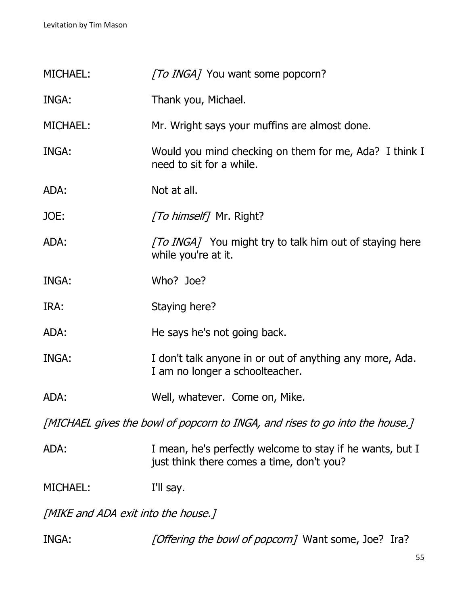| MICHAEL:                                                                     | [To INGA] You want some popcorn?                                                                       |
|------------------------------------------------------------------------------|--------------------------------------------------------------------------------------------------------|
| INGA:                                                                        | Thank you, Michael.                                                                                    |
| <b>MICHAEL:</b>                                                              | Mr. Wright says your muffins are almost done.                                                          |
| INGA:                                                                        | Would you mind checking on them for me, Ada? I think I<br>need to sit for a while.                     |
| ADA:                                                                         | Not at all.                                                                                            |
| JOE:                                                                         | <i>[To himself]</i> Mr. Right?                                                                         |
| ADA:                                                                         | [To INGA] You might try to talk him out of staying here<br>while you're at it.                         |
| INGA:                                                                        | Who? Joe?                                                                                              |
| IRA:                                                                         | Staying here?                                                                                          |
| ADA:                                                                         | He says he's not going back.                                                                           |
| INGA:                                                                        | I don't talk anyone in or out of anything any more, Ada.<br>I am no longer a schoolteacher.            |
| ADA:                                                                         | Well, whatever. Come on, Mike.                                                                         |
| [MICHAEL gives the bowl of popcorn to INGA, and rises to go into the house.] |                                                                                                        |
| ADA:                                                                         | I mean, he's perfectly welcome to stay if he wants, but I<br>just think there comes a time, don't you? |
| <b>MICHAEL:</b>                                                              | I'll say.                                                                                              |
| [MIKE and ADA exit into the house.]                                          |                                                                                                        |
| INGA:                                                                        | [Offering the bowl of popcorn] Want some, Joe? Ira?                                                    |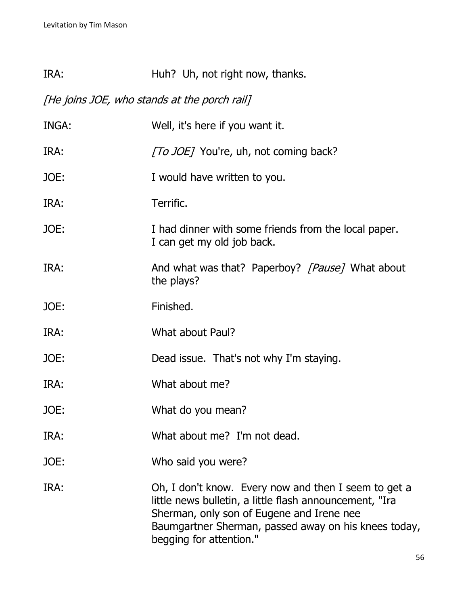| IRA:  | Huh? Uh, not right now, thanks.                                                                                                                                                                                                                 |
|-------|-------------------------------------------------------------------------------------------------------------------------------------------------------------------------------------------------------------------------------------------------|
|       | [He joins JOE, who stands at the porch rail]                                                                                                                                                                                                    |
| INGA: | Well, it's here if you want it.                                                                                                                                                                                                                 |
| IRA:  | [To JOE] You're, uh, not coming back?                                                                                                                                                                                                           |
| JOE:  | I would have written to you.                                                                                                                                                                                                                    |
| IRA:  | Terrific.                                                                                                                                                                                                                                       |
| JOE:  | I had dinner with some friends from the local paper.<br>I can get my old job back.                                                                                                                                                              |
| IRA:  | And what was that? Paperboy? [Pause] What about<br>the plays?                                                                                                                                                                                   |
| JOE:  | Finished.                                                                                                                                                                                                                                       |
| IRA:  | What about Paul?                                                                                                                                                                                                                                |
| JOE:  | Dead issue. That's not why I'm staying.                                                                                                                                                                                                         |
| IRA:  | What about me?                                                                                                                                                                                                                                  |
| JOE:  | What do you mean?                                                                                                                                                                                                                               |
| IRA:  | What about me? I'm not dead.                                                                                                                                                                                                                    |
| JOE:  | Who said you were?                                                                                                                                                                                                                              |
| IRA:  | Oh, I don't know. Every now and then I seem to get a<br>little news bulletin, a little flash announcement, "Ira<br>Sherman, only son of Eugene and Irene nee<br>Baumgartner Sherman, passed away on his knees today,<br>begging for attention." |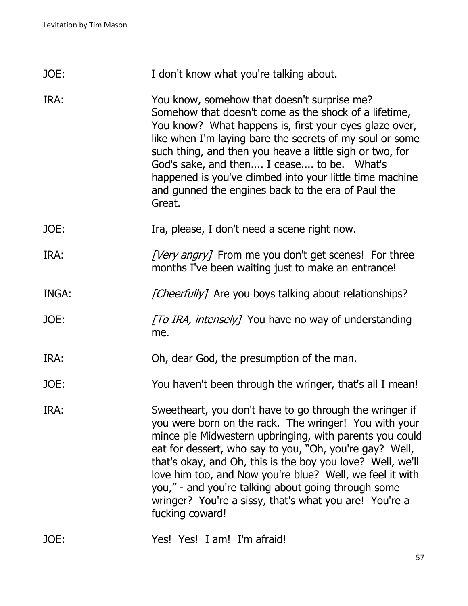| JOE:  | I don't know what you're talking about.                                                                                                                                                                                                                                                                                                                                                                                                                                                              |
|-------|------------------------------------------------------------------------------------------------------------------------------------------------------------------------------------------------------------------------------------------------------------------------------------------------------------------------------------------------------------------------------------------------------------------------------------------------------------------------------------------------------|
| IRA:  | You know, somehow that doesn't surprise me?<br>Somehow that doesn't come as the shock of a lifetime,<br>You know? What happens is, first your eyes glaze over,<br>like when I'm laying bare the secrets of my soul or some<br>such thing, and then you heave a little sigh or two, for<br>God's sake, and then I cease to be. What's<br>happened is you've climbed into your little time machine<br>and gunned the engines back to the era of Paul the<br>Great.                                     |
| JOE:  | Ira, please, I don't need a scene right now.                                                                                                                                                                                                                                                                                                                                                                                                                                                         |
| IRA:  | [Very angry] From me you don't get scenes! For three<br>months I've been waiting just to make an entrance!                                                                                                                                                                                                                                                                                                                                                                                           |
| INGA: | [Cheerfully] Are you boys talking about relationships?                                                                                                                                                                                                                                                                                                                                                                                                                                               |
| JOE:  | [To IRA, intensely] You have no way of understanding<br>me.                                                                                                                                                                                                                                                                                                                                                                                                                                          |
| IRA:  | Oh, dear God, the presumption of the man.                                                                                                                                                                                                                                                                                                                                                                                                                                                            |
| JOE:  | You haven't been through the wringer, that's all I mean!                                                                                                                                                                                                                                                                                                                                                                                                                                             |
| IRA:  | Sweetheart, you don't have to go through the wringer if<br>you were born on the rack. The wringer! You with your<br>mince pie Midwestern upbringing, with parents you could<br>eat for dessert, who say to you, "Oh, you're gay? Well,<br>that's okay, and Oh, this is the boy you love? Well, we'll<br>love him too, and Now you're blue? Well, we feel it with<br>you," - and you're talking about going through some<br>wringer? You're a sissy, that's what you are! You're a<br>fucking coward! |
| JOE:  | Yes! Yes! I am! I'm afraid!                                                                                                                                                                                                                                                                                                                                                                                                                                                                          |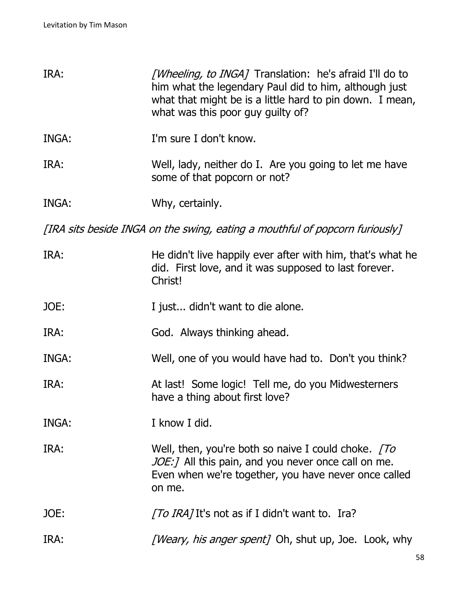| IRA:                                                                        | <i>[Wheeling, to INGA]</i> Translation: he's afraid I'll do to<br>him what the legendary Paul did to him, although just<br>what that might be is a little hard to pin down. I mean,<br>what was this poor guy guilty of? |  |
|-----------------------------------------------------------------------------|--------------------------------------------------------------------------------------------------------------------------------------------------------------------------------------------------------------------------|--|
| INGA:                                                                       | I'm sure I don't know.                                                                                                                                                                                                   |  |
| IRA:                                                                        | Well, lady, neither do I. Are you going to let me have<br>some of that popcorn or not?                                                                                                                                   |  |
| INGA:                                                                       | Why, certainly.                                                                                                                                                                                                          |  |
| [IRA sits beside INGA on the swing, eating a mouthful of popcorn furiously] |                                                                                                                                                                                                                          |  |
| IRA:                                                                        | He didn't live happily ever after with him, that's what he<br>did. First love, and it was supposed to last forever.<br>Christ!                                                                                           |  |
| JOE:                                                                        | I just didn't want to die alone.                                                                                                                                                                                         |  |
| IRA:                                                                        | God. Always thinking ahead.                                                                                                                                                                                              |  |
| INGA:                                                                       | Well, one of you would have had to. Don't you think?                                                                                                                                                                     |  |
| IRA:                                                                        | At last! Some logic! Tell me, do you Midwesterners<br>have a thing about first love?                                                                                                                                     |  |
| INGA:                                                                       | I know I did.                                                                                                                                                                                                            |  |
| IRA:                                                                        | Well, then, you're both so naive I could choke. $[To]$<br><i>JOE:</i> [ All this pain, and you never once call on me.<br>Even when we're together, you have never once called<br>on me.                                  |  |
| JOE:                                                                        | <i>[To IRA]</i> It's not as if I didn't want to. Ira?                                                                                                                                                                    |  |
| IRA:                                                                        | <i>[Weary, his anger spent]</i> Oh, shut up, Joe. Look, why                                                                                                                                                              |  |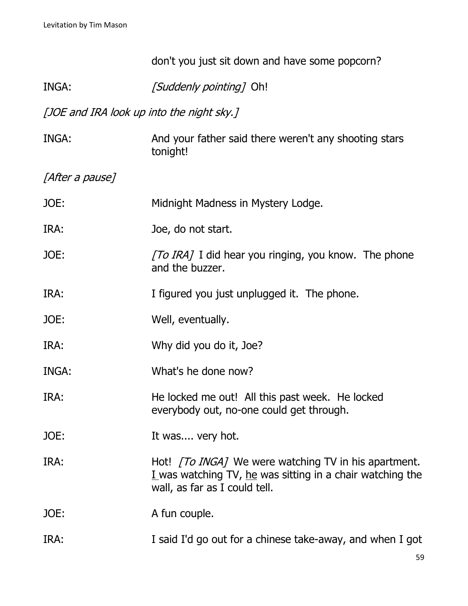don't you just sit down and have some popcorn?

INGA: [Suddenly pointing] Oh!

## [JOE and IRA look up into the night sky.]

| INGA:           | And your father said there weren't any shooting stars<br>tonight!                                                                                  |
|-----------------|----------------------------------------------------------------------------------------------------------------------------------------------------|
| [After a pause] |                                                                                                                                                    |
| JOE:            | Midnight Madness in Mystery Lodge.                                                                                                                 |
| IRA:            | Joe, do not start.                                                                                                                                 |
| JOE:            | [To IRA] I did hear you ringing, you know. The phone<br>and the buzzer.                                                                            |
| IRA:            | I figured you just unplugged it. The phone.                                                                                                        |
| JOE:            | Well, eventually.                                                                                                                                  |
| IRA:            | Why did you do it, Joe?                                                                                                                            |
| INGA:           | What's he done now?                                                                                                                                |
| IRA:            | He locked me out! All this past week. He locked<br>everybody out, no-one could get through.                                                        |
| JOE:            | It was very hot.                                                                                                                                   |
| IRA:            | Hot! [To INGA] We were watching TV in his apartment.<br>I was watching TV, he was sitting in a chair watching the<br>wall, as far as I could tell. |
| JOE:            | A fun couple.                                                                                                                                      |
| IRA:            | I said I'd go out for a chinese take-away, and when I got                                                                                          |
|                 |                                                                                                                                                    |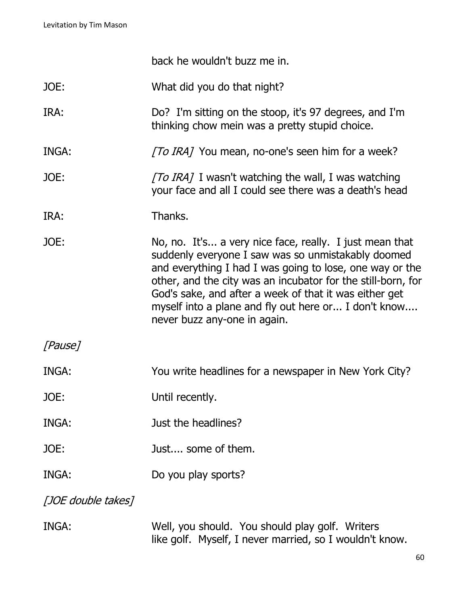back he wouldn't buzz me in.

JOE: What did you do that night?

IRA: Do? I'm sitting on the stoop, it's 97 degrees, and I'm thinking chow mein was a pretty stupid choice.

INGA: [To IRA] You mean, no-one's seen him for a week?

- JOE: [To IRA] I wasn't watching the wall, I was watching your face and all I could see there was a death's head
- IRA: Thanks.
- JOE: No, no. It's... a very nice face, really. I just mean that suddenly everyone I saw was so unmistakably doomed and everything I had I was going to lose, one way or the other, and the city was an incubator for the still-born, for God's sake, and after a week of that it was either get myself into a plane and fly out here or... I don't know.... never buzz any-one in again.

[Pause]

- INGA: You write headlines for a newspaper in New York City?
- JOE: Until recently.
- INGA: Just the headlines?
- JOE: Just.... some of them.
- INGA: Do you play sports?

[JOE double takes]

| INGA: | Well, you should. You should play golf. Writers         |
|-------|---------------------------------------------------------|
|       | like golf. Myself, I never married, so I wouldn't know. |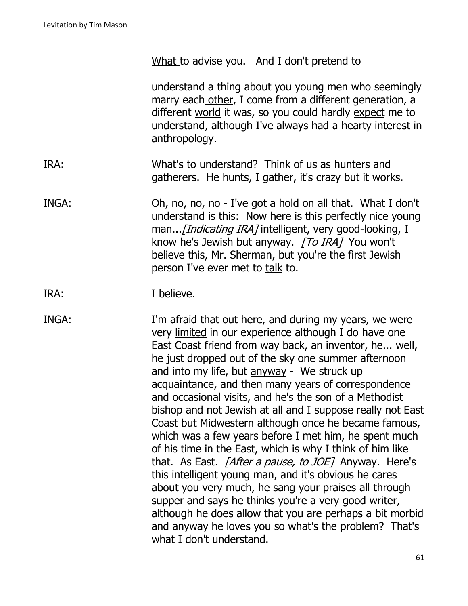What to advise you. And I don't pretend to understand a thing about you young men who seemingly marry each other, I come from a different generation, a different world it was, so you could hardly expect me to understand, although I've always had a hearty interest in anthropology. IRA: What's to understand? Think of us as hunters and gatherers. He hunts, I gather, it's crazy but it works. INGA: Oh, no, no, no - I've got a hold on all that. What I don't understand is this: Now here is this perfectly nice young man...*[Indicating IRA]* intelligent, very good-looking, I know he's Jewish but anyway. [To IRA] You won't believe this, Mr. Sherman, but you're the first Jewish person I've ever met to talk to. IRA: I believe.

INGA: I'm afraid that out here, and during my years, we were very limited in our experience although I do have one East Coast friend from way back, an inventor, he... well, he just dropped out of the sky one summer afternoon and into my life, but anyway - We struck up acquaintance, and then many years of correspondence and occasional visits, and he's the son of a Methodist bishop and not Jewish at all and I suppose really not East Coast but Midwestern although once he became famous, which was a few years before I met him, he spent much of his time in the East, which is why I think of him like that. As East. *[After a pause, to JOE]* Anyway. Here's this intelligent young man, and it's obvious he cares about you very much, he sang your praises all through supper and says he thinks you're a very good writer, although he does allow that you are perhaps a bit morbid and anyway he loves you so what's the problem? That's what I don't understand.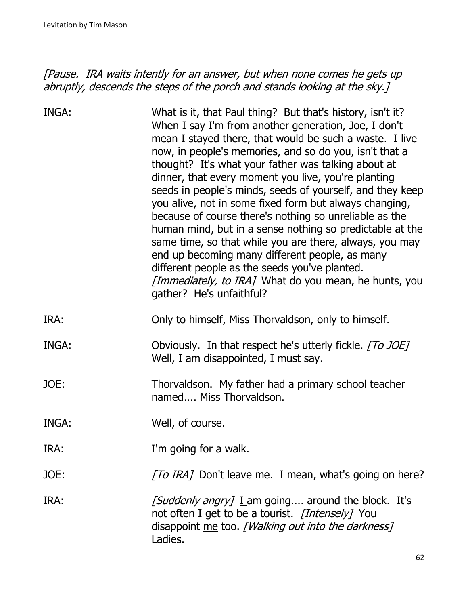## [Pause. IRA waits intently for an answer, but when none comes he gets up abruptly, descends the steps of the porch and stands looking at the sky.]

| INGA:        | What is it, that Paul thing? But that's history, isn't it?<br>When I say I'm from another generation, Joe, I don't<br>mean I stayed there, that would be such a waste. I live<br>now, in people's memories, and so do you, isn't that a<br>thought? It's what your father was talking about at<br>dinner, that every moment you live, you're planting<br>seeds in people's minds, seeds of yourself, and they keep<br>you alive, not in some fixed form but always changing,<br>because of course there's nothing so unreliable as the<br>human mind, but in a sense nothing so predictable at the<br>same time, so that while you are there, always, you may<br>end up becoming many different people, as many<br>different people as the seeds you've planted.<br>[Immediately, to IRA] What do you mean, he hunts, you<br>gather? He's unfaithful? |
|--------------|-------------------------------------------------------------------------------------------------------------------------------------------------------------------------------------------------------------------------------------------------------------------------------------------------------------------------------------------------------------------------------------------------------------------------------------------------------------------------------------------------------------------------------------------------------------------------------------------------------------------------------------------------------------------------------------------------------------------------------------------------------------------------------------------------------------------------------------------------------|
| IRA:         | Only to himself, Miss Thorvaldson, only to himself.                                                                                                                                                                                                                                                                                                                                                                                                                                                                                                                                                                                                                                                                                                                                                                                                   |
| <b>INGA:</b> | Obviously. In that respect he's utterly fickle. [To JOE]<br>Well, I am disappointed, I must say.                                                                                                                                                                                                                                                                                                                                                                                                                                                                                                                                                                                                                                                                                                                                                      |
| JOE:         | Thorvaldson. My father had a primary school teacher<br>named Miss Thorvaldson.                                                                                                                                                                                                                                                                                                                                                                                                                                                                                                                                                                                                                                                                                                                                                                        |
| INGA:        | Well, of course.                                                                                                                                                                                                                                                                                                                                                                                                                                                                                                                                                                                                                                                                                                                                                                                                                                      |
| IRA:         | I'm going for a walk.                                                                                                                                                                                                                                                                                                                                                                                                                                                                                                                                                                                                                                                                                                                                                                                                                                 |
| JOE:         | [To IRA] Don't leave me. I mean, what's going on here?                                                                                                                                                                                                                                                                                                                                                                                                                                                                                                                                                                                                                                                                                                                                                                                                |
| IRA:         | [Suddenly angry] Lam going around the block. It's<br>not often I get to be a tourist. <i>[Intensely]</i> You<br>disappoint me too. [Walking out into the darkness]<br>Ladies.                                                                                                                                                                                                                                                                                                                                                                                                                                                                                                                                                                                                                                                                         |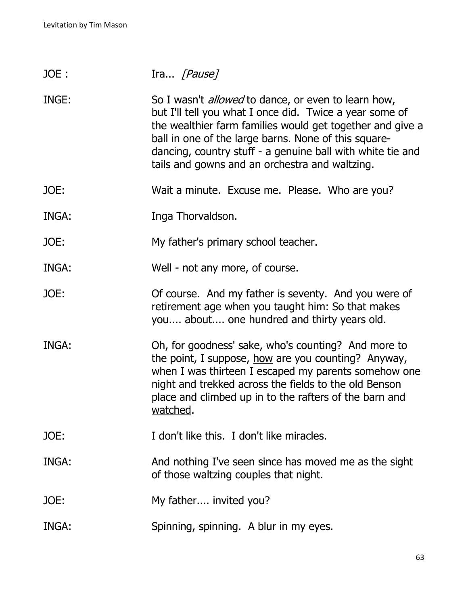| JOE:         | Ira $[Pause]$                                                                                                                                                                                                                                                                                                                                              |
|--------------|------------------------------------------------------------------------------------------------------------------------------------------------------------------------------------------------------------------------------------------------------------------------------------------------------------------------------------------------------------|
| INGE:        | So I wasn't <i>allowed</i> to dance, or even to learn how,<br>but I'll tell you what I once did. Twice a year some of<br>the wealthier farm families would get together and give a<br>ball in one of the large barns. None of this square-<br>dancing, country stuff - a genuine ball with white tie and<br>tails and gowns and an orchestra and waltzing. |
| JOE:         | Wait a minute. Excuse me. Please. Who are you?                                                                                                                                                                                                                                                                                                             |
| <b>INGA:</b> | Inga Thorvaldson.                                                                                                                                                                                                                                                                                                                                          |
| JOE:         | My father's primary school teacher.                                                                                                                                                                                                                                                                                                                        |
| INGA:        | Well - not any more, of course.                                                                                                                                                                                                                                                                                                                            |
| JOE:         | Of course. And my father is seventy. And you were of<br>retirement age when you taught him: So that makes<br>you about one hundred and thirty years old.                                                                                                                                                                                                   |
| <b>INGA:</b> | Oh, for goodness' sake, who's counting? And more to<br>the point, I suppose, how are you counting? Anyway,<br>when I was thirteen I escaped my parents somehow one<br>night and trekked across the fields to the old Benson<br>place and climbed up in to the rafters of the barn and<br><u>watched</u> .                                                  |
| JOE:         | I don't like this. I don't like miracles.                                                                                                                                                                                                                                                                                                                  |
| INGA:        | And nothing I've seen since has moved me as the sight<br>of those waltzing couples that night.                                                                                                                                                                                                                                                             |
| JOE:         | My father invited you?                                                                                                                                                                                                                                                                                                                                     |
| INGA:        | Spinning, spinning. A blur in my eyes.                                                                                                                                                                                                                                                                                                                     |
|              |                                                                                                                                                                                                                                                                                                                                                            |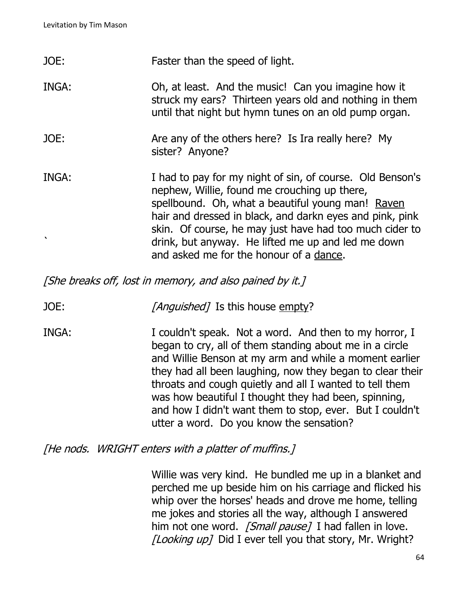| INGA: | Oh, at least. And the music! Can you imagine how it<br>struck my ears? Thirteen years old and nothing in them<br>until that night but hymn tunes on an old pump organ.                                                                                                                                                                                        |
|-------|---------------------------------------------------------------------------------------------------------------------------------------------------------------------------------------------------------------------------------------------------------------------------------------------------------------------------------------------------------------|
| JOE:  | Are any of the others here? Is Ira really here? My<br>sister? Anyone?                                                                                                                                                                                                                                                                                         |
| INGA: | I had to pay for my night of sin, of course. Old Benson's<br>$\mathbf{A}$ and $\mathbf{A}$ and $\mathbf{A}$ and $\mathbf{A}$ and $\mathbf{A}$ and $\mathbf{A}$ and $\mathbf{A}$ and $\mathbf{A}$ and $\mathbf{A}$ and $\mathbf{A}$ and $\mathbf{A}$ and $\mathbf{A}$ and $\mathbf{A}$ and $\mathbf{A}$ and $\mathbf{A}$ and $\mathbf{A}$ and $\mathbf{A}$ and |

nephew, Willie, found me crouching up there, spellbound. Oh, what a beautiful young man! Raven hair and dressed in black, and darkn eyes and pink, pink skin. Of course, he may just have had too much cider to ` drink, but anyway. He lifted me up and led me down and asked me for the honour of a dance.

[She breaks off, lost in memory, and also pained by it.]

JOE: [Anguished] Is this house empty?

INGA: I couldn't speak. Not a word. And then to my horror, I began to cry, all of them standing about me in a circle and Willie Benson at my arm and while a moment earlier they had all been laughing, now they began to clear their throats and cough quietly and all I wanted to tell them was how beautiful I thought they had been, spinning, and how I didn't want them to stop, ever. But I couldn't utter a word. Do you know the sensation?

[He nods. WRIGHT enters with a platter of muffins.]

 Willie was very kind. He bundled me up in a blanket and perched me up beside him on his carriage and flicked his whip over the horses' heads and drove me home, telling me jokes and stories all the way, although I answered him not one word. [Small pause] I had fallen in love. [Looking up] Did I ever tell you that story, Mr. Wright?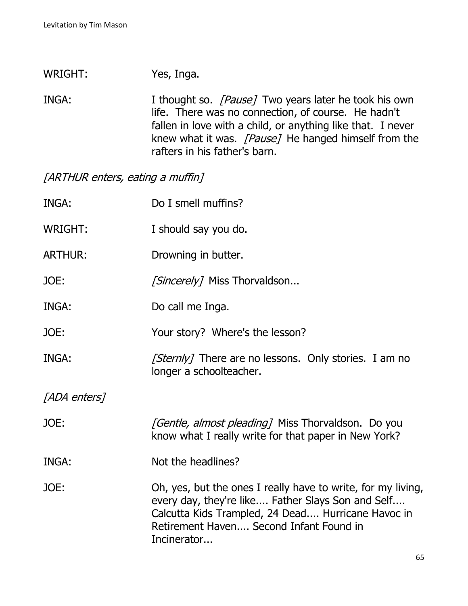| WRIGHT: | Yes, Inga.                                                                                                                                                                                                                                                                  |
|---------|-----------------------------------------------------------------------------------------------------------------------------------------------------------------------------------------------------------------------------------------------------------------------------|
| INGA:   | I thought so. <i>[Pause]</i> Two years later he took his own<br>life. There was no connection, of course. He hadn't<br>fallen in love with a child, or anything like that. I never<br>knew what it was. [Pause] He hanged himself from the<br>rafters in his father's barn. |

[ARTHUR enters, eating a muffin]

| INGA:          | Do I smell muffins?                                                                                                                                                                                                               |
|----------------|-----------------------------------------------------------------------------------------------------------------------------------------------------------------------------------------------------------------------------------|
| <b>WRIGHT:</b> | I should say you do.                                                                                                                                                                                                              |
| <b>ARTHUR:</b> | Drowning in butter.                                                                                                                                                                                                               |
| JOE:           | <i>[Sincerely]</i> Miss Thorvaldson                                                                                                                                                                                               |
| INGA:          | Do call me Inga.                                                                                                                                                                                                                  |
| JOE:           | Your story? Where's the lesson?                                                                                                                                                                                                   |
| INGA:          | <i>[Sternly]</i> There are no lessons. Only stories. I am no<br>longer a schoolteacher.                                                                                                                                           |
| [ADA enters]   |                                                                                                                                                                                                                                   |
| JOE:           | <i>[Gentle, almost pleading]</i> Miss Thorvaldson. Do you<br>know what I really write for that paper in New York?                                                                                                                 |
| INGA:          | Not the headlines?                                                                                                                                                                                                                |
| JOE:           | Oh, yes, but the ones I really have to write, for my living,<br>every day, they're like Father Slays Son and Self<br>Calcutta Kids Trampled, 24 Dead Hurricane Havoc in<br>Retirement Haven Second Infant Found in<br>Incinerator |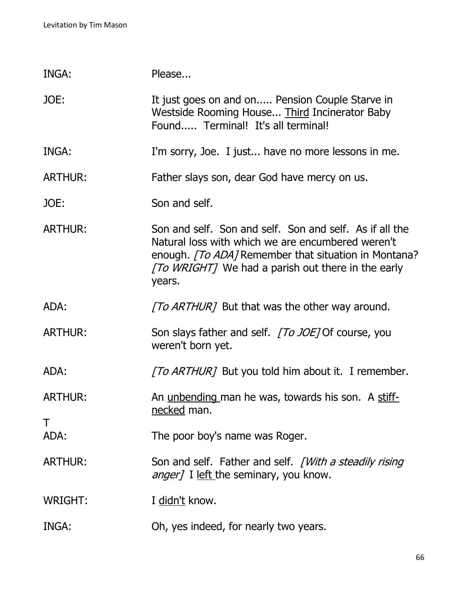| INGA:          | Please                                                                                                                                                                                                                               |
|----------------|--------------------------------------------------------------------------------------------------------------------------------------------------------------------------------------------------------------------------------------|
| JOE:           | It just goes on and on Pension Couple Starve in<br>Westside Rooming House Third Incinerator Baby<br>Found Terminal! It's all terminal!                                                                                               |
| INGA:          | I'm sorry, Joe. I just have no more lessons in me.                                                                                                                                                                                   |
| <b>ARTHUR:</b> | Father slays son, dear God have mercy on us.                                                                                                                                                                                         |
| JOE:           | Son and self.                                                                                                                                                                                                                        |
| <b>ARTHUR:</b> | Son and self. Son and self. Son and self. As if all the<br>Natural loss with which we are encumbered weren't<br>enough. [To ADA] Remember that situation in Montana?<br>[To WRIGHT] We had a parish out there in the early<br>years. |
| ADA:           | [To ARTHUR] But that was the other way around.                                                                                                                                                                                       |
| <b>ARTHUR:</b> | Son slays father and self. [To JOE] Of course, you<br>weren't born yet.                                                                                                                                                              |
| ADA:           | [To ARTHUR] But you told him about it. I remember.                                                                                                                                                                                   |
| <b>ARTHUR:</b> | An unbending man he was, towards his son. A stiff-<br>necked man.                                                                                                                                                                    |
| Τ<br>ADA:      | The poor boy's name was Roger.                                                                                                                                                                                                       |
| <b>ARTHUR:</b> | Son and self. Father and self. <i>[With a steadily rising</i><br><i>anger]</i> I left the seminary, you know.                                                                                                                        |
| <b>WRIGHT:</b> | I didn't know.                                                                                                                                                                                                                       |
| INGA:          | Oh, yes indeed, for nearly two years.                                                                                                                                                                                                |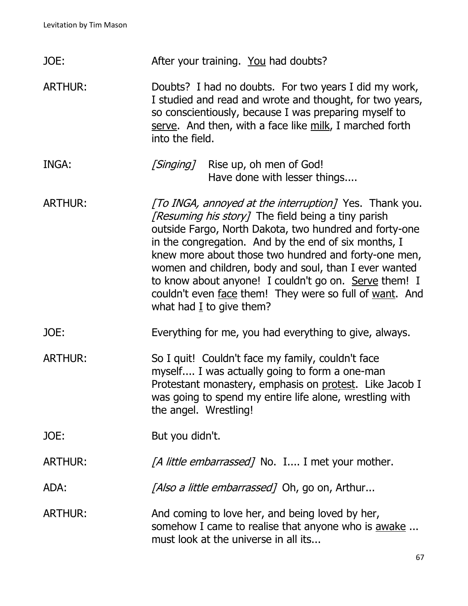| JOE:           | After your training. You had doubts?                                                                                                                                                                                                                                                                                                                                                                                                                                                                     |
|----------------|----------------------------------------------------------------------------------------------------------------------------------------------------------------------------------------------------------------------------------------------------------------------------------------------------------------------------------------------------------------------------------------------------------------------------------------------------------------------------------------------------------|
| <b>ARTHUR:</b> | Doubts? I had no doubts. For two years I did my work,<br>I studied and read and wrote and thought, for two years,<br>so conscientiously, because I was preparing myself to<br>serve. And then, with a face like milk, I marched forth<br>into the field.                                                                                                                                                                                                                                                 |
| INGA:          | <i>[Singing]</i> Rise up, oh men of God!<br>Have done with lesser things                                                                                                                                                                                                                                                                                                                                                                                                                                 |
| <b>ARTHUR:</b> | [To INGA, annoyed at the interruption] Yes. Thank you.<br><i>[Resuming his story]</i> The field being a tiny parish<br>outside Fargo, North Dakota, two hundred and forty-one<br>in the congregation. And by the end of six months, I<br>knew more about those two hundred and forty-one men,<br>women and children, body and soul, than I ever wanted<br>to know about anyone! I couldn't go on. Serve them! I<br>couldn't even face them! They were so full of want. And<br>what had $I$ to give them? |
| JOE:           | Everything for me, you had everything to give, always.                                                                                                                                                                                                                                                                                                                                                                                                                                                   |
| <b>ARTHUR:</b> | So I quit! Couldn't face my family, couldn't face<br>myself I was actually going to form a one-man<br>Protestant monastery, emphasis on protest. Like Jacob I<br>was going to spend my entire life alone, wrestling with<br>the angel. Wrestling!                                                                                                                                                                                                                                                        |
| JOE:           | But you didn't.                                                                                                                                                                                                                                                                                                                                                                                                                                                                                          |
| <b>ARTHUR:</b> | [A little embarrassed] No. I I met your mother.                                                                                                                                                                                                                                                                                                                                                                                                                                                          |
| ADA:           | [Also a little embarrassed] Oh, go on, Arthur                                                                                                                                                                                                                                                                                                                                                                                                                                                            |
| <b>ARTHUR:</b> | And coming to love her, and being loved by her,<br>somehow I came to realise that anyone who is awake<br>must look at the universe in all its                                                                                                                                                                                                                                                                                                                                                            |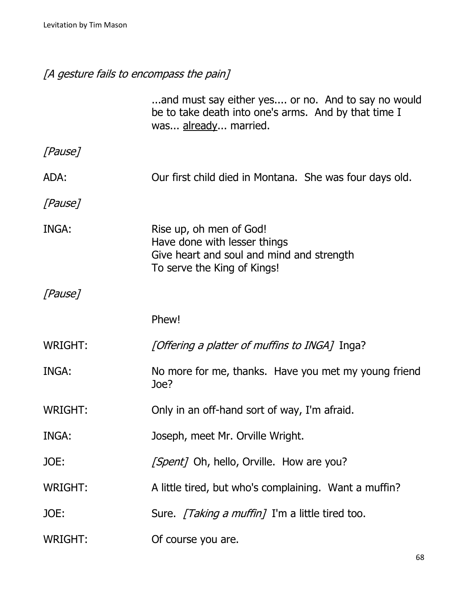## [A gesture fails to encompass the pain]

|         | and must say either yes or no. And to say no would<br>be to take death into one's arms. And by that time I<br>was already married.  |
|---------|-------------------------------------------------------------------------------------------------------------------------------------|
| [Pause] |                                                                                                                                     |
| ADA:    | Our first child died in Montana. She was four days old.                                                                             |
| [Pause] |                                                                                                                                     |
| INGA:   | Rise up, oh men of God!<br>Have done with lesser things<br>Give heart and soul and mind and strength<br>To serve the King of Kings! |
| [Pause] |                                                                                                                                     |
|         | Phew!                                                                                                                               |
| WRIGHT: | <i>[Offering a platter of muffins to INGA]</i> Inga?                                                                                |
| INGA:   | No more for me, thanks. Have you met my young friend<br>Joe?                                                                        |
| WRIGHT: | Only in an off-hand sort of way, I'm afraid.                                                                                        |
| INGA:   | Joseph, meet Mr. Orville Wright.                                                                                                    |
| JOE:    | [Spent] Oh, hello, Orville. How are you?                                                                                            |
| WRIGHT: | A little tired, but who's complaining. Want a muffin?                                                                               |
| JOE:    | Sure. [Taking a muffin] I'm a little tired too.                                                                                     |
| WRIGHT: | Of course you are.                                                                                                                  |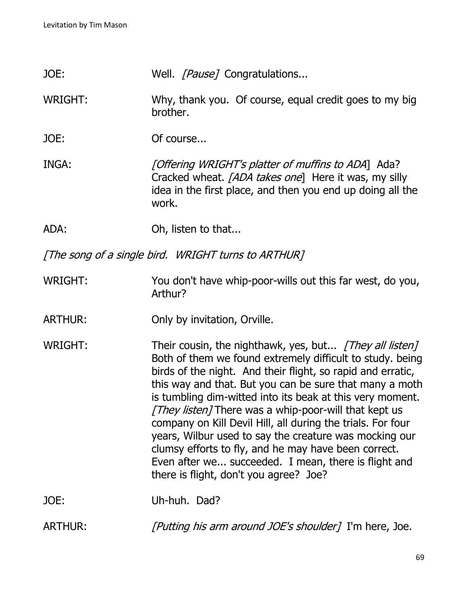JOE: Well. [Pause] Congratulations...

- WRIGHT: Why, thank you. Of course, equal credit goes to my big brother.
- JOE: Of course...
- INGA: [Offering WRIGHT's platter of muffins to ADA] Ada? Cracked wheat. [ADA takes one] Here it was, my silly idea in the first place, and then you end up doing all the work.
- ADA: Oh, listen to that...

[The song of a single bird. WRIGHT turns to ARTHUR]

- WRIGHT: You don't have whip-poor-wills out this far west, do you, Arthur?
- ARTHUR: Only by invitation, Orville.
- WRIGHT: Their cousin, the nighthawk, yes, but... [They all listen] Both of them we found extremely difficult to study. being birds of the night. And their flight, so rapid and erratic, this way and that. But you can be sure that many a moth is tumbling dim-witted into its beak at this very moment. [They listen] There was a whip-poor-will that kept us company on Kill Devil Hill, all during the trials. For four years, Wilbur used to say the creature was mocking our clumsy efforts to fly, and he may have been correct. Even after we... succeeded. I mean, there is flight and there is flight, don't you agree? Joe?

JOE: Uh-huh. Dad?

ARTHUR: [Putting his arm around JOE's shoulder] I'm here, Joe.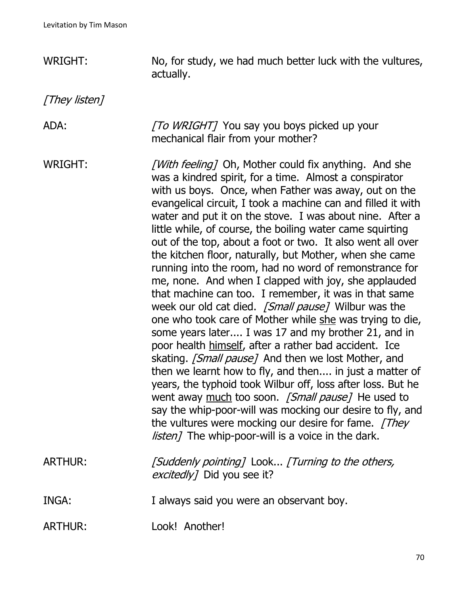| <b>WRIGHT:</b> | No, for study, we had much better luck with the vultures,<br>actually.                                                                                                                                                                                                                                                                                                                                                                                                                                                                                                                                                                                                                                                                                                                                                                                                                                                                                                                                                                                                                                                                                                                                                                                                                                                                  |
|----------------|-----------------------------------------------------------------------------------------------------------------------------------------------------------------------------------------------------------------------------------------------------------------------------------------------------------------------------------------------------------------------------------------------------------------------------------------------------------------------------------------------------------------------------------------------------------------------------------------------------------------------------------------------------------------------------------------------------------------------------------------------------------------------------------------------------------------------------------------------------------------------------------------------------------------------------------------------------------------------------------------------------------------------------------------------------------------------------------------------------------------------------------------------------------------------------------------------------------------------------------------------------------------------------------------------------------------------------------------|
| [They listen]  |                                                                                                                                                                                                                                                                                                                                                                                                                                                                                                                                                                                                                                                                                                                                                                                                                                                                                                                                                                                                                                                                                                                                                                                                                                                                                                                                         |
| ADA:           | [To WRIGHT] You say you boys picked up your<br>mechanical flair from your mother?                                                                                                                                                                                                                                                                                                                                                                                                                                                                                                                                                                                                                                                                                                                                                                                                                                                                                                                                                                                                                                                                                                                                                                                                                                                       |
| <b>WRIGHT:</b> | <i>[With feeling]</i> Oh, Mother could fix anything. And she<br>was a kindred spirit, for a time. Almost a conspirator<br>with us boys. Once, when Father was away, out on the<br>evangelical circuit, I took a machine can and filled it with<br>water and put it on the stove. I was about nine. After a<br>little while, of course, the boiling water came squirting<br>out of the top, about a foot or two. It also went all over<br>the kitchen floor, naturally, but Mother, when she came<br>running into the room, had no word of remonstrance for<br>me, none. And when I clapped with joy, she applauded<br>that machine can too. I remember, it was in that same<br>week our old cat died. [Small pause] Wilbur was the<br>one who took care of Mother while she was trying to die,<br>some years later I was 17 and my brother 21, and in<br>poor health himself, after a rather bad accident. Ice<br>skating. <i>[Small pause]</i> And then we lost Mother, and<br>then we learnt how to fly, and then in just a matter of<br>years, the typhoid took Wilbur off, loss after loss. But he<br>went away much too soon. [Small pause] He used to<br>say the whip-poor-will was mocking our desire to fly, and<br>the vultures were mocking our desire for fame. [They]<br>listen] The whip-poor-will is a voice in the dark. |
| <b>ARTHUR:</b> | [Suddenly pointing] Look [Turning to the others,<br><i>excitedly</i> Did you see it?                                                                                                                                                                                                                                                                                                                                                                                                                                                                                                                                                                                                                                                                                                                                                                                                                                                                                                                                                                                                                                                                                                                                                                                                                                                    |
| INGA:          | I always said you were an observant boy.                                                                                                                                                                                                                                                                                                                                                                                                                                                                                                                                                                                                                                                                                                                                                                                                                                                                                                                                                                                                                                                                                                                                                                                                                                                                                                |
| ARTHUR:        | Look! Another!                                                                                                                                                                                                                                                                                                                                                                                                                                                                                                                                                                                                                                                                                                                                                                                                                                                                                                                                                                                                                                                                                                                                                                                                                                                                                                                          |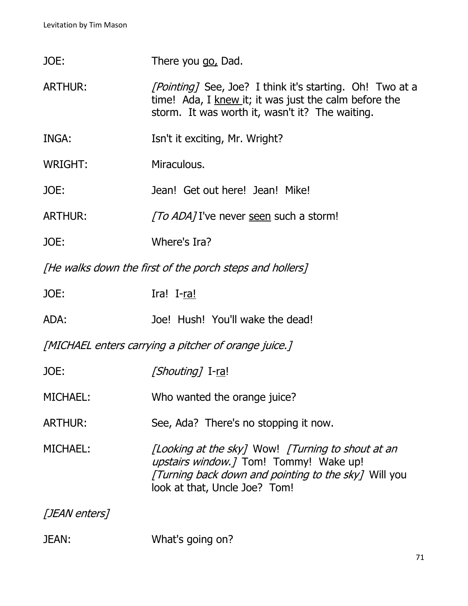| JOE:                                                     | There you go, Dad.                                                                                                                                                          |  |
|----------------------------------------------------------|-----------------------------------------------------------------------------------------------------------------------------------------------------------------------------|--|
| <b>ARTHUR:</b>                                           | <i>[Pointing]</i> See, Joe? I think it's starting. Oh! Two at a<br>time! Ada, I knew it; it was just the calm before the<br>storm. It was worth it, wasn't it? The waiting. |  |
| INGA:                                                    | Isn't it exciting, Mr. Wright?                                                                                                                                              |  |
| <b>WRIGHT:</b>                                           | Miraculous.                                                                                                                                                                 |  |
| JOE:                                                     | Jean! Get out here! Jean! Mike!                                                                                                                                             |  |
| <b>ARTHUR:</b>                                           | [To ADA] I've never seen such a storm!                                                                                                                                      |  |
| JOE:                                                     | Where's Ira?                                                                                                                                                                |  |
| [He walks down the first of the porch steps and hollers] |                                                                                                                                                                             |  |
| JOE:                                                     | Ira! I-ra!                                                                                                                                                                  |  |
| ADA:                                                     | Joe! Hush! You'll wake the dead!                                                                                                                                            |  |
| [MICHAEL enters carrying a pitcher of orange juice.]     |                                                                                                                                                                             |  |
| JOE:                                                     | [Shouting] I-ral                                                                                                                                                            |  |
| <b>MICHAEL:</b>                                          | Who wanted the orange juice?                                                                                                                                                |  |

ARTHUR: See, Ada? There's no stopping it now.

MICHAEL: [Looking at the sky] Wow! [Turning to shout at an upstairs window. J Tom! Tommy! Wake up! [Turning back down and pointing to the sky] Will you look at that, Uncle Joe? Tom!

[JEAN enters]

JEAN: What's going on?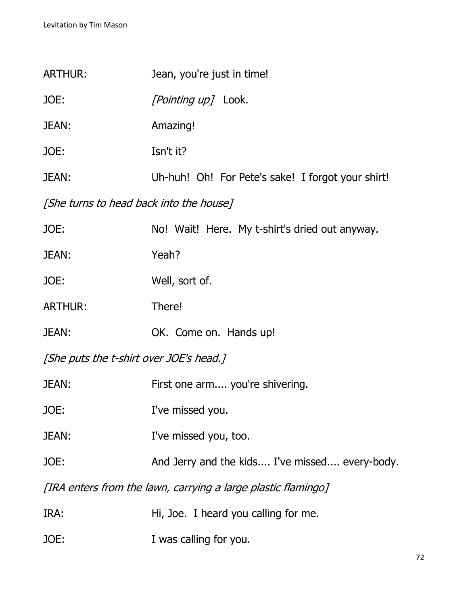| <b>ARTHUR:</b>                          | Jean, you're just in time!                        |  |
|-----------------------------------------|---------------------------------------------------|--|
| JOE:                                    | <i>[Pointing up]</i> Look.                        |  |
| JEAN:                                   | Amazing!                                          |  |
| JOE:                                    | Isn't it?                                         |  |
| JEAN:                                   | Uh-huh! Oh! For Pete's sake! I forgot your shirt! |  |
| [She turns to head back into the house] |                                                   |  |
| JOE:                                    | No! Wait! Here. My t-shirt's dried out anyway.    |  |
| JEAN:                                   | Yeah?                                             |  |
| JOE:                                    | Well, sort of.                                    |  |
| <b>ARTHUR:</b>                          | There!                                            |  |
| JEAN:                                   | OK. Come on. Hands up!                            |  |
| [She puts the t-shirt over JOE's head.] |                                                   |  |
| JEAN:                                   | First one arm you're shivering.                   |  |
| JOE:                                    | I've missed you.                                  |  |
| JEAN:                                   | I've missed you, too.                             |  |
| JOE:                                    | And Jerry and the kids I've missed every-body.    |  |
|                                         |                                                   |  |

[IRA enters from the lawn, carrying a large plastic flamingo]

- IRA: Hi, Joe. I heard you calling for me.
- JOE: I was calling for you.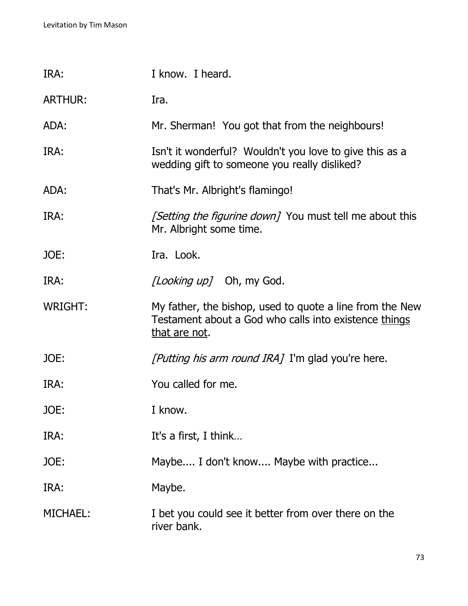| IRA:           | I know. I heard.                                                                                                                   |
|----------------|------------------------------------------------------------------------------------------------------------------------------------|
| <b>ARTHUR:</b> | Ira.                                                                                                                               |
| ADA:           | Mr. Sherman! You got that from the neighbours!                                                                                     |
| IRA:           | Isn't it wonderful? Wouldn't you love to give this as a<br>wedding gift to someone you really disliked?                            |
| ADA:           | That's Mr. Albright's flamingo!                                                                                                    |
| IRA:           | <i>[Setting the figurine down]</i> You must tell me about this<br>Mr. Albright some time.                                          |
| JOE:           | Ira. Look.                                                                                                                         |
| IRA:           | [Looking up] Oh, my God.                                                                                                           |
| <b>WRIGHT:</b> | My father, the bishop, used to quote a line from the New<br>Testament about a God who calls into existence things<br>that are not. |
| JOE:           | <i>[Putting his arm round IRA]</i> I'm glad you're here.                                                                           |
| IRA:           | You called for me.                                                                                                                 |
| JOE:           | I know.                                                                                                                            |
| IRA:           | It's a first, I think                                                                                                              |
| JOE:           | Maybe I don't know Maybe with practice                                                                                             |
| IRA:           | Maybe.                                                                                                                             |
| MICHAEL:       | I bet you could see it better from over there on the<br>river bank.                                                                |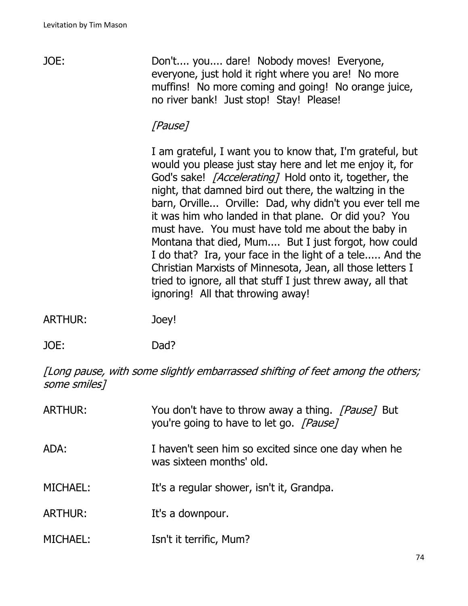JOE: Don't.... you.... dare! Nobody moves! Everyone, everyone, just hold it right where you are! No more muffins! No more coming and going! No orange juice, no river bank! Just stop! Stay! Please!

# [Pause]

 I am grateful, I want you to know that, I'm grateful, but would you please just stay here and let me enjoy it, for God's sake! *[Accelerating]* Hold onto it, together, the night, that damned bird out there, the waltzing in the barn, Orville... Orville: Dad, why didn't you ever tell me it was him who landed in that plane. Or did you? You must have. You must have told me about the baby in Montana that died, Mum.... But I just forgot, how could I do that? Ira, your face in the light of a tele..... And the Christian Marxists of Minnesota, Jean, all those letters I tried to ignore, all that stuff I just threw away, all that ignoring! All that throwing away!

### ARTHUR: Joey!

# JOE: Dad?

[Long pause, with some slightly embarrassed shifting of feet among the others; some smiles]

| ARTHUR:  | You don't have to throw away a thing. <i>[Pause]</i> But<br>you're going to have to let go. [Pause] |
|----------|-----------------------------------------------------------------------------------------------------|
| ADA:     | I haven't seen him so excited since one day when he<br>was sixteen months' old.                     |
| MICHAEL: | It's a regular shower, isn't it, Grandpa.                                                           |
| ARTHUR:  | It's a downpour.                                                                                    |
| MICHAEL: | Isn't it terrific, Mum?                                                                             |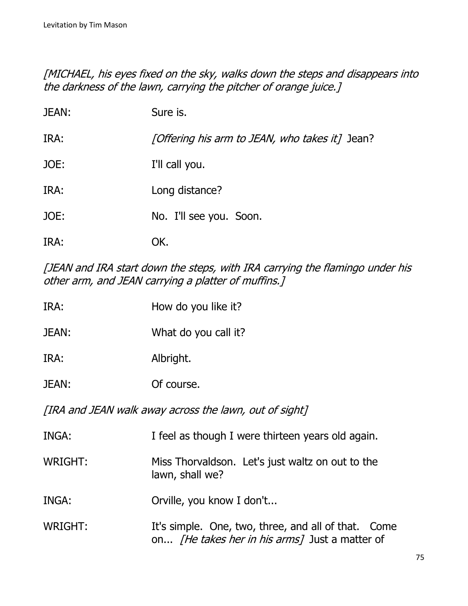[MICHAEL, his eyes fixed on the sky, walks down the steps and disappears into the darkness of the lawn, carrying the pitcher of orange juice.]

| JEAN: | Sure is.                                              |
|-------|-------------------------------------------------------|
| IRA:  | <i>[Offering his arm to JEAN, who takes it]</i> Jean? |
| JOE:  | I'll call you.                                        |
| IRA:  | Long distance?                                        |
| JOE:  | No. I'll see you. Soon.                               |
| IRA:  | OK.                                                   |

[JEAN and IRA start down the steps, with IRA carrying the flamingo under his other arm, and JEAN carrying a platter of muffins.]

| IRA:                                                   | How do you like it?                                                                                          |  |
|--------------------------------------------------------|--------------------------------------------------------------------------------------------------------------|--|
| JEAN:                                                  | What do you call it?                                                                                         |  |
| IRA:                                                   | Albright.                                                                                                    |  |
| JEAN:                                                  | Of course.                                                                                                   |  |
| [IRA and JEAN walk away across the lawn, out of sight] |                                                                                                              |  |
| INGA:                                                  | I feel as though I were thirteen years old again.                                                            |  |
| <b>WRIGHT:</b>                                         | Miss Thorvaldson. Let's just waltz on out to the<br>lawn, shall we?                                          |  |
| INGA:                                                  | Orville, you know I don't                                                                                    |  |
| <b>WRIGHT:</b>                                         | It's simple. One, two, three, and all of that. Come<br>on <i>[He takes her in his arms]</i> Just a matter of |  |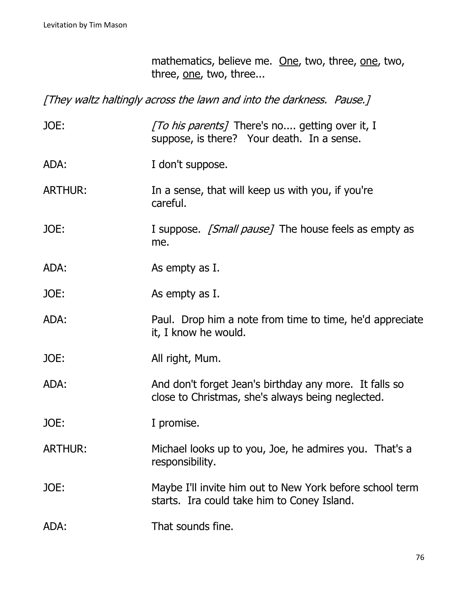mathematics, believe me. One, two, three, one, two, three, one, two, three...

[They waltz haltingly across the lawn and into the darkness. Pause.]

| JOE:           | [To his parents] There's no getting over it, I<br>suppose, is there? Your death. In a sense.                |
|----------------|-------------------------------------------------------------------------------------------------------------|
| ADA:           | I don't suppose.                                                                                            |
| <b>ARTHUR:</b> | In a sense, that will keep us with you, if you're<br>careful.                                               |
| JOE:           | I suppose. [Small pause] The house feels as empty as<br>me.                                                 |
| ADA:           | As empty as I.                                                                                              |
| JOE:           | As empty as I.                                                                                              |
| ADA:           | Paul. Drop him a note from time to time, he'd appreciate<br>it, I know he would.                            |
| JOE:           | All right, Mum.                                                                                             |
| ADA:           | And don't forget Jean's birthday any more. It falls so<br>close to Christmas, she's always being neglected. |
| JOE:           | I promise.                                                                                                  |
| <b>ARTHUR:</b> | Michael looks up to you, Joe, he admires you. That's a<br>responsibility.                                   |
| JOE:           | Maybe I'll invite him out to New York before school term<br>starts. Ira could take him to Coney Island.     |
| ADA:           | That sounds fine.                                                                                           |